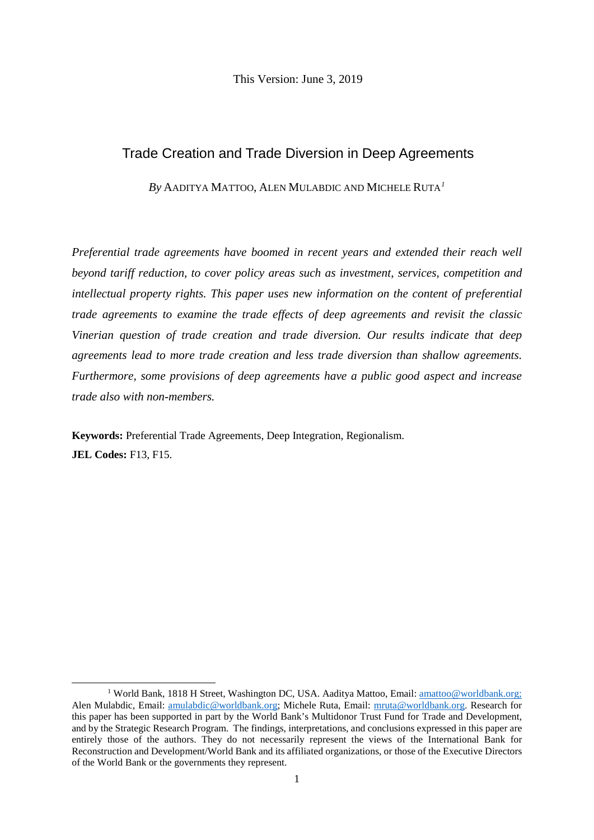This Version: June 3, 2019

# Trade Creation and Trade Diversion in Deep Agreements

*By* AADITYA MATTOO, ALEN MULABDIC AND MICHELE RUTA*[1](#page-0-0)*

*Preferential trade agreements have boomed in recent years and extended their reach well beyond tariff reduction, to cover policy areas such as investment, services, competition and intellectual property rights. This paper uses new information on the content of preferential trade agreements to examine the trade effects of deep agreements and revisit the classic Vinerian question of trade creation and trade diversion. Our results indicate that deep agreements lead to more trade creation and less trade diversion than shallow agreements. Furthermore, some provisions of deep agreements have a public good aspect and increase trade also with non-members.*

**Keywords:** Preferential Trade Agreements, Deep Integration, Regionalism. **JEL Codes:** F13, F15.

<span id="page-0-0"></span><sup>&</sup>lt;sup>1</sup> World Bank, 1818 H Street, Washington DC, USA. Aaditya Mattoo, Email: [amattoo@worldbank.org;](mailto:amattoo@worldbank.org) Alen Mulabdic, Email: [amulabdic@worldbank.org;](mailto:amulabdic@worldbank.org) Michele Ruta, Email: [mruta@worldbank.org.](mailto:mruta@worldbank.org) Research for this paper has been supported in part by the World Bank's Multidonor Trust Fund for Trade and Development, and by the Strategic Research Program. The findings, interpretations, and conclusions expressed in this paper are entirely those of the authors. They do not necessarily represent the views of the International Bank for Reconstruction and Development/World Bank and its affiliated organizations, or those of the Executive Directors of the World Bank or the governments they represent.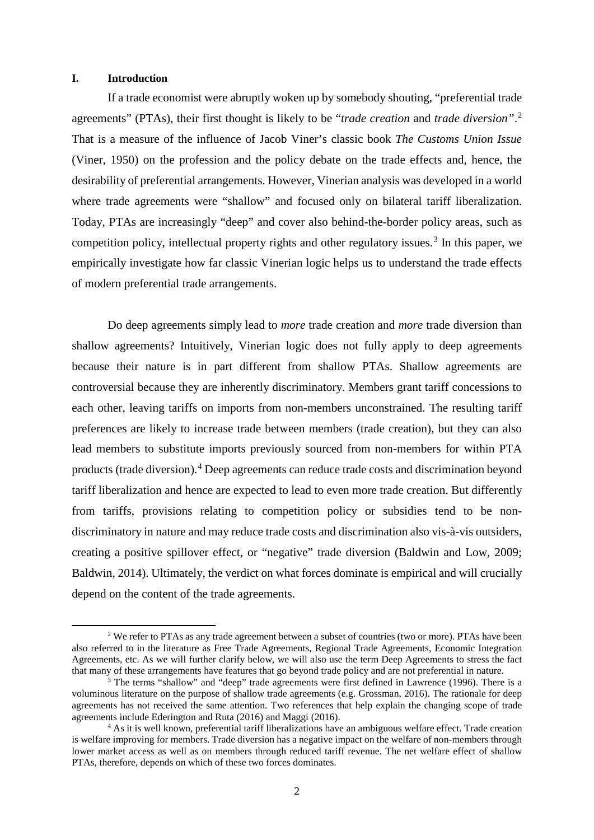### **I. Introduction**

If a trade economist were abruptly woken up by somebody shouting, "preferential trade agreements" (PTAs), their first thought is likely to be "*trade creation* and *trade diversion"*. [2](#page-1-0) That is a measure of the influence of Jacob Viner's classic book *The Customs Union Issue* (Viner, 1950) on the profession and the policy debate on the trade effects and, hence, the desirability of preferential arrangements. However, Vinerian analysis was developed in a world where trade agreements were "shallow" and focused only on bilateral tariff liberalization. Today, PTAs are increasingly "deep" and cover also behind-the-border policy areas, such as competition policy, intellectual property rights and other regulatory issues.<sup>[3](#page-1-1)</sup> In this paper, we empirically investigate how far classic Vinerian logic helps us to understand the trade effects of modern preferential trade arrangements.

Do deep agreements simply lead to *more* trade creation and *more* trade diversion than shallow agreements? Intuitively, Vinerian logic does not fully apply to deep agreements because their nature is in part different from shallow PTAs. Shallow agreements are controversial because they are inherently discriminatory. Members grant tariff concessions to each other, leaving tariffs on imports from non-members unconstrained. The resulting tariff preferences are likely to increase trade between members (trade creation), but they can also lead members to substitute imports previously sourced from non-members for within PTA products (trade diversion).[4](#page-1-2) Deep agreements can reduce trade costs and discrimination beyond tariff liberalization and hence are expected to lead to even more trade creation. But differently from tariffs, provisions relating to competition policy or subsidies tend to be nondiscriminatory in nature and may reduce trade costs and discrimination also vis-à-vis outsiders, creating a positive spillover effect, or "negative" trade diversion (Baldwin and Low, 2009; Baldwin, 2014). Ultimately, the verdict on what forces dominate is empirical and will crucially depend on the content of the trade agreements.

<span id="page-1-0"></span><sup>&</sup>lt;sup>2</sup> We refer to PTAs as any trade agreement between a subset of countries (two or more). PTAs have been also referred to in the literature as Free Trade Agreements, Regional Trade Agreements, Economic Integration Agreements, etc. As we will further clarify below, we will also use the term Deep Agreements to stress the fact that many of these arrangements have features that go beyond trade policy and are not preferential in nature.

<span id="page-1-1"></span> $\frac{3}{3}$  The terms "shallow" and "deep" trade agreements were first defined in Lawrence (1996). There is a voluminous literature on the purpose of shallow trade agreements (e.g. Grossman, 2016). The rationale for deep agreements has not received the same attention. Two references that help explain the changing scope of trade agreements include Ederington and Ruta (2016) and Maggi (2016).

<span id="page-1-2"></span> $4$  As it is well known, preferential tariff liberalizations have an ambiguous welfare effect. Trade creation is welfare improving for members. Trade diversion has a negative impact on the welfare of non-members through lower market access as well as on members through reduced tariff revenue. The net welfare effect of shallow PTAs, therefore, depends on which of these two forces dominates.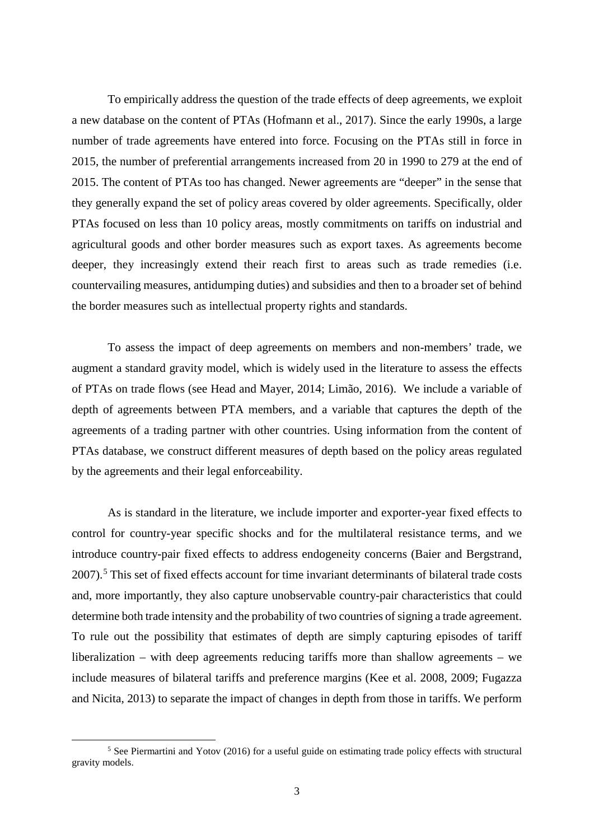To empirically address the question of the trade effects of deep agreements, we exploit a new database on the content of PTAs (Hofmann et al., 2017). Since the early 1990s, a large number of trade agreements have entered into force. Focusing on the PTAs still in force in 2015, the number of preferential arrangements increased from 20 in 1990 to 279 at the end of 2015. The content of PTAs too has changed. Newer agreements are "deeper" in the sense that they generally expand the set of policy areas covered by older agreements. Specifically, older PTAs focused on less than 10 policy areas, mostly commitments on tariffs on industrial and agricultural goods and other border measures such as export taxes. As agreements become deeper, they increasingly extend their reach first to areas such as trade remedies (i.e. countervailing measures, antidumping duties) and subsidies and then to a broader set of behind the border measures such as intellectual property rights and standards.

To assess the impact of deep agreements on members and non-members' trade, we augment a standard gravity model, which is widely used in the literature to assess the effects of PTAs on trade flows (see Head and Mayer, 2014; Limão, 2016). We include a variable of depth of agreements between PTA members, and a variable that captures the depth of the agreements of a trading partner with other countries. Using information from the content of PTAs database, we construct different measures of depth based on the policy areas regulated by the agreements and their legal enforceability.

As is standard in the literature, we include importer and exporter-year fixed effects to control for country-year specific shocks and for the multilateral resistance terms, and we introduce country-pair fixed effects to address endogeneity concerns (Baier and Bergstrand, 2007).<sup>[5](#page-2-0)</sup> This set of fixed effects account for time invariant determinants of bilateral trade costs and, more importantly, they also capture unobservable country-pair characteristics that could determine both trade intensity and the probability of two countries of signing a trade agreement. To rule out the possibility that estimates of depth are simply capturing episodes of tariff liberalization – with deep agreements reducing tariffs more than shallow agreements – we include measures of bilateral tariffs and preference margins (Kee et al. 2008, 2009; Fugazza and Nicita, 2013) to separate the impact of changes in depth from those in tariffs. We perform

<span id="page-2-0"></span> <sup>5</sup> See Piermartini and Yotov (2016) for a useful guide on estimating trade policy effects with structural gravity models.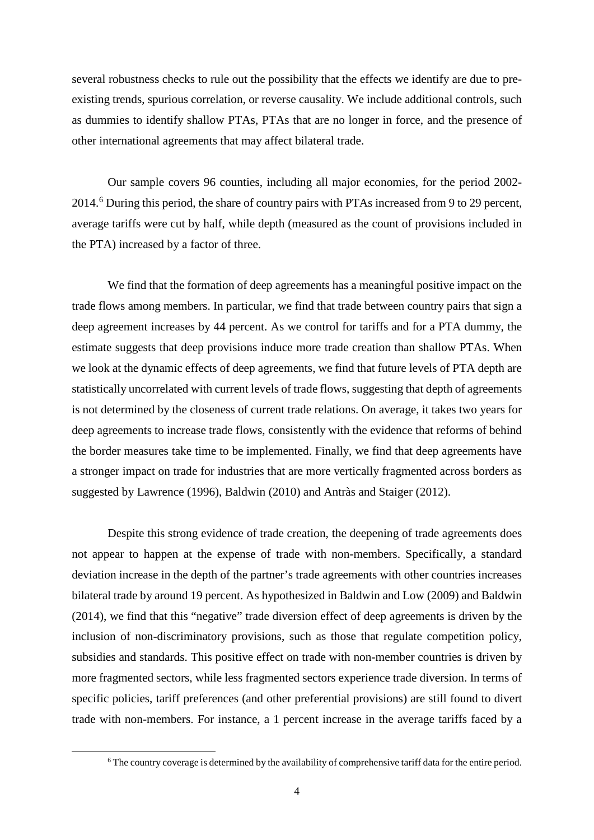several robustness checks to rule out the possibility that the effects we identify are due to preexisting trends, spurious correlation, or reverse causality. We include additional controls, such as dummies to identify shallow PTAs, PTAs that are no longer in force, and the presence of other international agreements that may affect bilateral trade.

Our sample covers 96 counties, including all major economies, for the period 2002- 2014.[6](#page-3-0) During this period, the share of country pairs with PTAs increased from 9 to 29 percent, average tariffs were cut by half, while depth (measured as the count of provisions included in the PTA) increased by a factor of three.

We find that the formation of deep agreements has a meaningful positive impact on the trade flows among members. In particular, we find that trade between country pairs that sign a deep agreement increases by 44 percent. As we control for tariffs and for a PTA dummy, the estimate suggests that deep provisions induce more trade creation than shallow PTAs. When we look at the dynamic effects of deep agreements, we find that future levels of PTA depth are statistically uncorrelated with current levels of trade flows, suggesting that depth of agreements is not determined by the closeness of current trade relations. On average, it takes two years for deep agreements to increase trade flows, consistently with the evidence that reforms of behind the border measures take time to be implemented. Finally, we find that deep agreements have a stronger impact on trade for industries that are more vertically fragmented across borders as suggested by Lawrence (1996), Baldwin (2010) and Antràs and Staiger (2012).

Despite this strong evidence of trade creation, the deepening of trade agreements does not appear to happen at the expense of trade with non-members. Specifically, a standard deviation increase in the depth of the partner's trade agreements with other countries increases bilateral trade by around 19 percent. As hypothesized in Baldwin and Low (2009) and Baldwin (2014), we find that this "negative" trade diversion effect of deep agreements is driven by the inclusion of non-discriminatory provisions, such as those that regulate competition policy, subsidies and standards. This positive effect on trade with non-member countries is driven by more fragmented sectors, while less fragmented sectors experience trade diversion. In terms of specific policies, tariff preferences (and other preferential provisions) are still found to divert trade with non-members. For instance, a 1 percent increase in the average tariffs faced by a

<span id="page-3-0"></span> <sup>6</sup> The country coverage is determined by the availability of comprehensive tariff data for the entire period.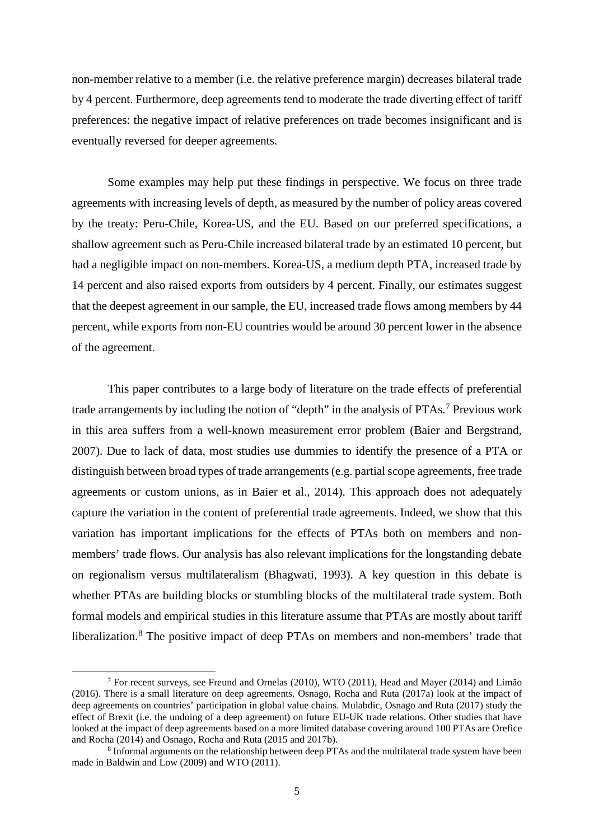non-member relative to a member (i.e. the relative preference margin) decreases bilateral trade by 4 percent. Furthermore, deep agreements tend to moderate the trade diverting effect of tariff preferences: the negative impact of relative preferences on trade becomes insignificant and is eventually reversed for deeper agreements.

Some examples may help put these findings in perspective. We focus on three trade agreements with increasing levels of depth, as measured by the number of policy areas covered by the treaty: Peru-Chile, Korea-US, and the EU. Based on our preferred specifications, a shallow agreement such as Peru-Chile increased bilateral trade by an estimated 10 percent, but had a negligible impact on non-members. Korea-US, a medium depth PTA, increased trade by 14 percent and also raised exports from outsiders by 4 percent. Finally, our estimates suggest that the deepest agreement in our sample, the EU, increased trade flows among members by 44 percent, while exports from non-EU countries would be around 30 percent lower in the absence of the agreement.

This paper contributes to a large body of literature on the trade effects of preferential trade arrangements by including the notion of "depth" in the analysis of PTAs.<sup>[7](#page-4-0)</sup> Previous work in this area suffers from a well-known measurement error problem (Baier and Bergstrand, 2007). Due to lack of data, most studies use dummies to identify the presence of a PTA or distinguish between broad types of trade arrangements (e.g. partial scope agreements, free trade agreements or custom unions, as in Baier et al., 2014). This approach does not adequately capture the variation in the content of preferential trade agreements. Indeed, we show that this variation has important implications for the effects of PTAs both on members and nonmembers' trade flows. Our analysis has also relevant implications for the longstanding debate on regionalism versus multilateralism (Bhagwati, 1993). A key question in this debate is whether PTAs are building blocks or stumbling blocks of the multilateral trade system. Both formal models and empirical studies in this literature assume that PTAs are mostly about tariff liberalization.<sup>[8](#page-4-1)</sup> The positive impact of deep PTAs on members and non-members' trade that

<span id="page-4-0"></span> <sup>7</sup> For recent surveys, see Freund and Ornelas (2010), WTO (2011), Head and Mayer (2014) and Limão (2016). There is a small literature on deep agreements. Osnago, Rocha and Ruta (2017a) look at the impact of deep agreements on countries' participation in global value chains. Mulabdic, Osnago and Ruta (2017) study the effect of Brexit (i.e. the undoing of a deep agreement) on future EU-UK trade relations. Other studies that have looked at the impact of deep agreements based on a more limited database covering around 100 PTAs are Orefice and Rocha (2014) and Osnago, Rocha and Ruta (2015 and 2017b).

<span id="page-4-1"></span><sup>8</sup> Informal arguments on the relationship between deep PTAs and the multilateral trade system have been made in Baldwin and Low (2009) and WTO (2011).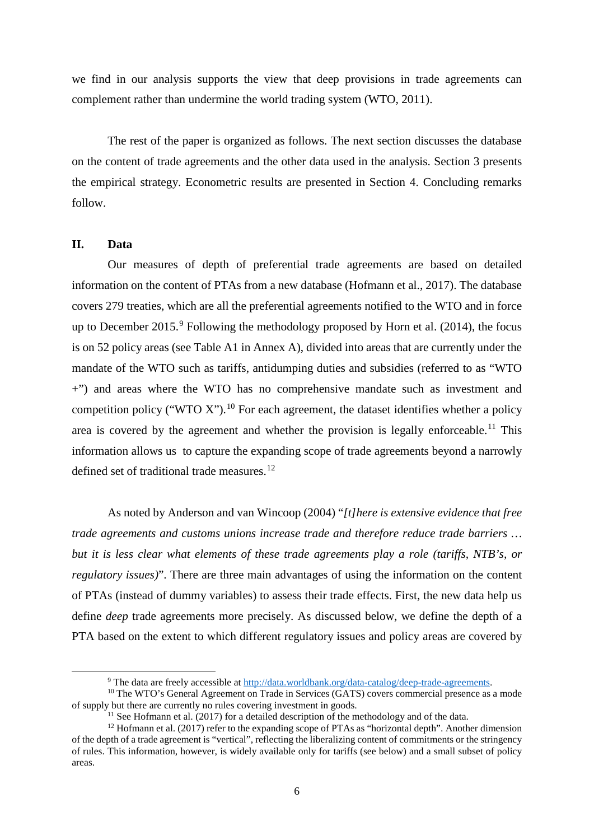we find in our analysis supports the view that deep provisions in trade agreements can complement rather than undermine the world trading system (WTO, 2011).

The rest of the paper is organized as follows. The next section discusses the database on the content of trade agreements and the other data used in the analysis. Section 3 presents the empirical strategy. Econometric results are presented in Section 4. Concluding remarks follow.

### **II. Data**

Our measures of depth of preferential trade agreements are based on detailed information on the content of PTAs from a new database (Hofmann et al., 2017). The database covers 279 treaties, which are all the preferential agreements notified to the WTO and in force up to December 2015.<sup>[9](#page-5-0)</sup> Following the methodology proposed by Horn et al. (2014), the focus is on 52 policy areas (see Table A1 in Annex A), divided into areas that are currently under the mandate of the WTO such as tariffs, antidumping duties and subsidies (referred to as "WTO +") and areas where the WTO has no comprehensive mandate such as investment and competition policy ("WTO X").<sup>[10](#page-5-1)</sup> For each agreement, the dataset identifies whether a policy area is covered by the agreement and whether the provision is legally enforceable.<sup>[11](#page-5-2)</sup> This information allows us to capture the expanding scope of trade agreements beyond a narrowly defined set of traditional trade measures.<sup>[12](#page-5-3)</sup>

As noted by Anderson and van Wincoop (2004) "*[t]here is extensive evidence that free trade agreements and customs unions increase trade and therefore reduce trade barriers … but it is less clear what elements of these trade agreements play a role (tariffs, NTB's, or regulatory issues)*". There are three main advantages of using the information on the content of PTAs (instead of dummy variables) to assess their trade effects. First, the new data help us define *deep* trade agreements more precisely. As discussed below, we define the depth of a PTA based on the extent to which different regulatory issues and policy areas are covered by

<sup>&</sup>lt;sup>9</sup> The data are freely accessible at  $\frac{http://data.worldbank.org/data-catalog/deep-trade-agreements.$  <sup>10</sup> The WTO's General Agreement on Trade in Services (GATS) covers commercial presence as a mode

<span id="page-5-1"></span><span id="page-5-0"></span>of supply but there are currently no rules covering investment in goods.<br><sup>11</sup> See Hofmann et al. (2017) for a detailed description of the methodology and of the data.

<span id="page-5-3"></span><span id="page-5-2"></span><sup>&</sup>lt;sup>12</sup> Hofmann et al. (2017) refer to the expanding scope of PTAs as "horizontal depth". Another dimension of the depth of a trade agreement is "vertical", reflecting the liberalizing content of commitments or the stringency of rules. This information, however, is widely available only for tariffs (see below) and a small subset of policy areas.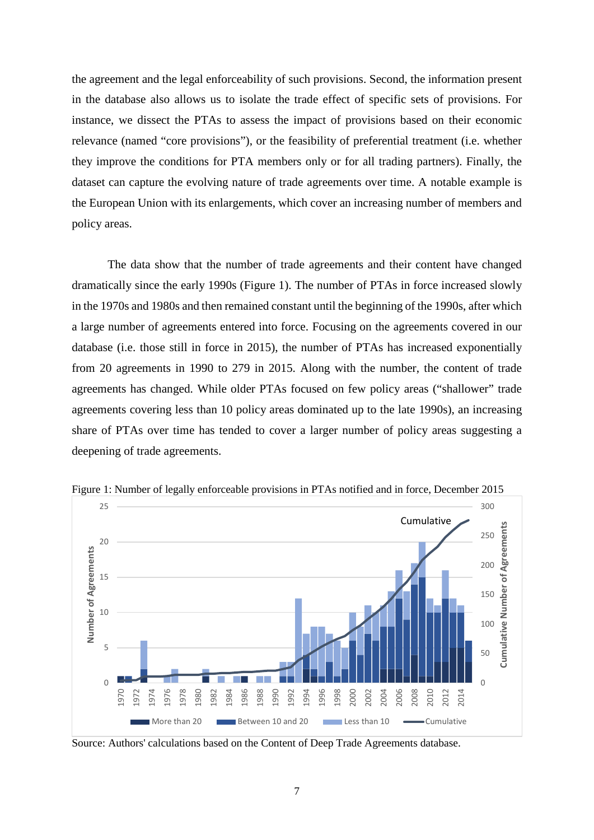the agreement and the legal enforceability of such provisions. Second, the information present in the database also allows us to isolate the trade effect of specific sets of provisions. For instance, we dissect the PTAs to assess the impact of provisions based on their economic relevance (named "core provisions"), or the feasibility of preferential treatment (i.e. whether they improve the conditions for PTA members only or for all trading partners). Finally, the dataset can capture the evolving nature of trade agreements over time. A notable example is the European Union with its enlargements, which cover an increasing number of members and policy areas.

The data show that the number of trade agreements and their content have changed dramatically since the early 1990s (Figure 1). The number of PTAs in force increased slowly in the 1970s and 1980s and then remained constant until the beginning of the 1990s, after which a large number of agreements entered into force. Focusing on the agreements covered in our database (i.e. those still in force in 2015), the number of PTAs has increased exponentially from 20 agreements in 1990 to 279 in 2015. Along with the number, the content of trade agreements has changed. While older PTAs focused on few policy areas ("shallower" trade agreements covering less than 10 policy areas dominated up to the late 1990s), an increasing share of PTAs over time has tended to cover a larger number of policy areas suggesting a deepening of trade agreements.



Figure 1: Number of legally enforceable provisions in PTAs notified and in force, December 2015

Source: Authors' calculations based on the Content of Deep Trade Agreements database.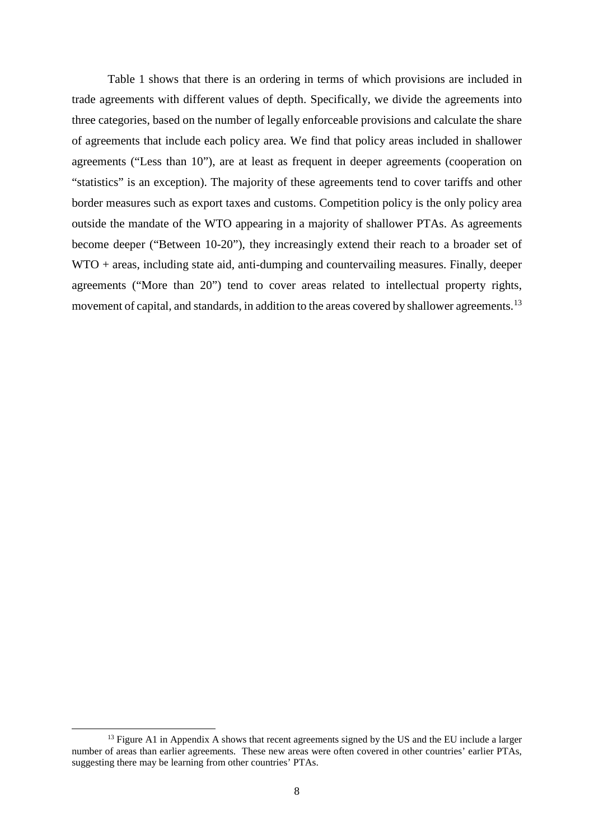Table 1 shows that there is an ordering in terms of which provisions are included in trade agreements with different values of depth. Specifically, we divide the agreements into three categories, based on the number of legally enforceable provisions and calculate the share of agreements that include each policy area. We find that policy areas included in shallower agreements ("Less than 10"), are at least as frequent in deeper agreements (cooperation on "statistics" is an exception). The majority of these agreements tend to cover tariffs and other border measures such as export taxes and customs. Competition policy is the only policy area outside the mandate of the WTO appearing in a majority of shallower PTAs. As agreements become deeper ("Between 10-20"), they increasingly extend their reach to a broader set of WTO + areas, including state aid, anti-dumping and countervailing measures. Finally, deeper agreements ("More than 20") tend to cover areas related to intellectual property rights, movement of capital, and standards, in addition to the areas covered by shallower agreements.<sup>[13](#page-7-0)</sup>

<span id="page-7-0"></span> $<sup>13</sup>$  Figure A1 in Appendix A shows that recent agreements signed by the US and the EU include a larger</sup> number of areas than earlier agreements. These new areas were often covered in other countries' earlier PTAs, suggesting there may be learning from other countries' PTAs.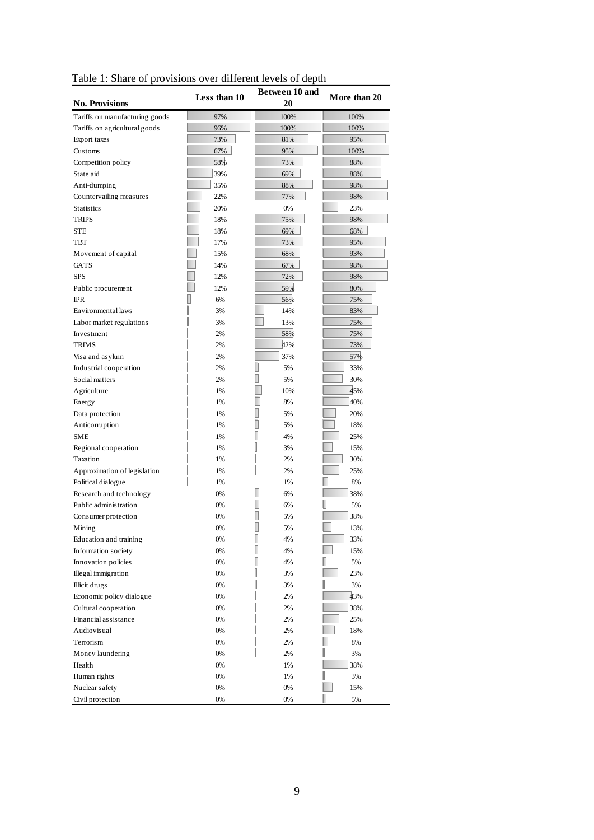| rable 1. Share or provisions over unterent levels or depth |              |                      |              |
|------------------------------------------------------------|--------------|----------------------|--------------|
| <b>No. Provisions</b>                                      | Less than 10 | Between 10 and<br>20 | More than 20 |
| Tariffs on manufacturing goods                             | 97%          | 100%                 | 100%         |
| Tariffs on agricultural goods                              | 96%          | 100%                 | 100%         |
| Export taxes                                               | 73%          | 81%                  | 95%          |
| Customs                                                    | 67%          | 95%                  | 100%         |
| Competition policy                                         | 58%          | 73%                  | 88%          |
| State aid                                                  | 39%          | 69%                  | 88%          |
| Anti-dumping                                               | 35%          | 88%                  | 98%          |
| Countervailing measures                                    | 22%          | 77%                  | 98%          |
| <b>Statistics</b>                                          | 20%          | 0%                   | 23%          |
| <b>TRIPS</b>                                               | 18%          | 75%                  | 98%          |
| <b>STE</b>                                                 | 18%          | 69%                  | 68%          |
| <b>TBT</b>                                                 | 17%          | 73%                  | 95%          |
| Movement of capital                                        | 15%          | 68%                  | 93%          |
| <b>GATS</b>                                                | 14%          | 67%                  | 98%          |
| <b>SPS</b>                                                 | 12%          | 72%                  | 98%          |
|                                                            | 12%          | 59%                  | 80%          |
| Public procurement<br><b>IPR</b>                           |              | 56%                  |              |
|                                                            | 6%           |                      | 75%          |
| Environmental laws                                         | 3%           | 14%                  | 83%          |
| Labor market regulations                                   | 3%           | 13%                  | 75%          |
| Investment                                                 | 2%           | 58%                  | 75%          |
| <b>TRIMS</b>                                               | 2%           | 42%                  | 73%          |
| Visa and asylum                                            | 2%           | 37%                  | 57%          |
| Industrial cooperation                                     | 2%           | Ш<br>5%              | 33%          |
| Social matters                                             | 2%           | I<br>5%              | 30%          |
| Agriculture                                                | 1%           | 10%                  | 45%          |
| Energy                                                     | 1%           | 8%                   | 40%          |
| Data protection                                            | 1%           | Ι<br>5%              | 20%          |
| Anticorruption                                             | 1%           | ▯<br>5%              | 18%          |
| SME                                                        | 1%           | II<br>4%             | 25%          |
| Regional cooperation                                       | 1%           | I<br>3%              | 15%          |
| Taxation                                                   | 1%           | 2%                   | 30%          |
| Approximation of legislation                               | 1%           | 2%                   | 25%          |
| Political dialogue                                         | 1%           | 1%                   | 8%           |
| Research and technology                                    | 0%           | 6%                   | 38%          |
| Public administration                                      | 0%           | 6%                   | 5%           |
| Consumer protection                                        | 0%           | I<br>5%              | 38%          |
| Mining                                                     | $0\%$        | I<br>5%              | 13%          |
| Education and training                                     | 0%           | I<br>4%              | 33%          |
| Information society                                        | 0%           | I<br>4%              | 15%          |
| Innovation policies                                        | 0%           | I<br>4%              | I<br>5%      |
| Illegal immigration                                        | 0%           | I<br>3%              | 23%          |
| Illicit drugs                                              | 0%           | I<br>3%              | 3%           |
| Economic policy dialogue                                   | 0%           | 2%                   | 43%          |
| Cultural cooperation                                       | 0%           | 2%                   | 38%          |
| Financial assistance                                       | 0%           | 2%                   | 25%          |
|                                                            |              |                      |              |
| Audiovisual                                                | 0%           | 2%                   | 18%          |
| Terrorism                                                  | $0\%$        | 2%                   | 8%           |
| Money laundering                                           | 0%           | 2%                   | U<br>3%      |
| Health                                                     | $0\%$        | 1%                   | 38%          |
| Human rights                                               | $0\%$        | 1%                   | I<br>3%      |
| Nuclear safety                                             | 0%           | 0%                   | 15%          |
| Civil protection                                           | 0%           | $0\%$                | 5%           |

Table 1: Share of provisions over different levels of depth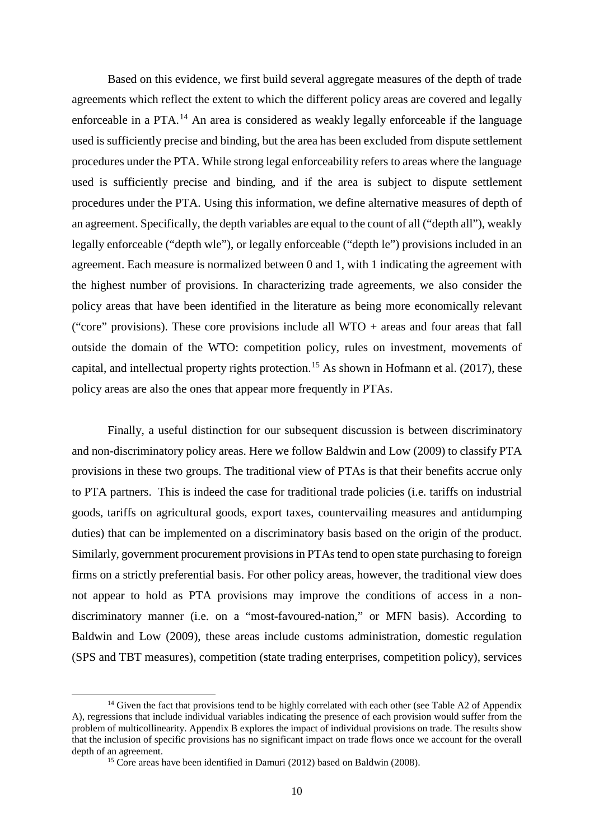Based on this evidence, we first build several aggregate measures of the depth of trade agreements which reflect the extent to which the different policy areas are covered and legally enforceable in a PTA.<sup>[14](#page-9-0)</sup> An area is considered as weakly legally enforceable if the language used is sufficiently precise and binding, but the area has been excluded from dispute settlement procedures under the PTA. While strong legal enforceability refers to areas where the language used is sufficiently precise and binding, and if the area is subject to dispute settlement procedures under the PTA. Using this information, we define alternative measures of depth of an agreement. Specifically, the depth variables are equal to the count of all ("depth all"), weakly legally enforceable ("depth wle"), or legally enforceable ("depth le") provisions included in an agreement. Each measure is normalized between 0 and 1, with 1 indicating the agreement with the highest number of provisions. In characterizing trade agreements, we also consider the policy areas that have been identified in the literature as being more economically relevant ("core" provisions). These core provisions include all  $WTO + \alpha$  areas and four areas that fall outside the domain of the WTO: competition policy, rules on investment, movements of capital, and intellectual property rights protection.<sup>[15](#page-9-1)</sup> As shown in Hofmann et al. (2017), these policy areas are also the ones that appear more frequently in PTAs.

Finally, a useful distinction for our subsequent discussion is between discriminatory and non-discriminatory policy areas. Here we follow Baldwin and Low (2009) to classify PTA provisions in these two groups. The traditional view of PTAs is that their benefits accrue only to PTA partners. This is indeed the case for traditional trade policies (i.e. tariffs on industrial goods, tariffs on agricultural goods, export taxes, countervailing measures and antidumping duties) that can be implemented on a discriminatory basis based on the origin of the product. Similarly, government procurement provisions in PTAs tend to open state purchasing to foreign firms on a strictly preferential basis. For other policy areas, however, the traditional view does not appear to hold as PTA provisions may improve the conditions of access in a nondiscriminatory manner (i.e. on a "most-favoured-nation," or MFN basis). According to Baldwin and Low (2009), these areas include customs administration, domestic regulation (SPS and TBT measures), competition (state trading enterprises, competition policy), services

<span id="page-9-1"></span><span id="page-9-0"></span> $14$  Given the fact that provisions tend to be highly correlated with each other (see Table A2 of Appendix A), regressions that include individual variables indicating the presence of each provision would suffer from the problem of multicollinearity. Appendix B explores the impact of individual provisions on trade. The results show that the inclusion of specific provisions has no significant impact on trade flows once we account for the overall depth of an agreement.

<sup>&</sup>lt;sup>15</sup> Core areas have been identified in Damuri (2012) based on Baldwin (2008).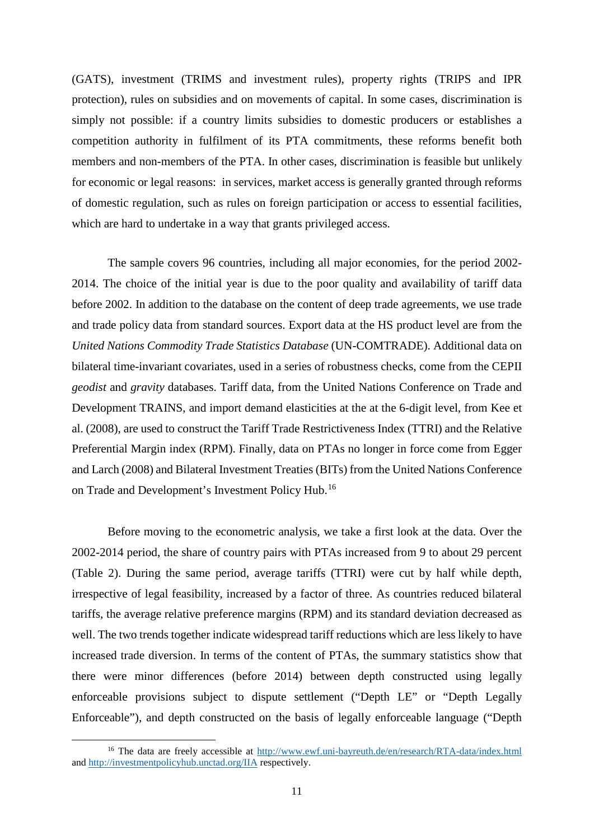(GATS), investment (TRIMS and investment rules), property rights (TRIPS and IPR protection), rules on subsidies and on movements of capital. In some cases, discrimination is simply not possible: if a country limits subsidies to domestic producers or establishes a competition authority in fulfilment of its PTA commitments, these reforms benefit both members and non-members of the PTA. In other cases, discrimination is feasible but unlikely for economic or legal reasons: in services, market access is generally granted through reforms of domestic regulation, such as rules on foreign participation or access to essential facilities, which are hard to undertake in a way that grants privileged access.

The sample covers 96 countries, including all major economies, for the period 2002- 2014. The choice of the initial year is due to the poor quality and availability of tariff data before 2002. In addition to the database on the content of deep trade agreements, we use trade and trade policy data from standard sources. Export data at the HS product level are from the *United Nations Commodity Trade Statistics Database* (UN-COMTRADE). Additional data on bilateral time-invariant covariates, used in a series of robustness checks, come from the CEPII *geodist* and *gravity* databases. Tariff data, from the United Nations Conference on Trade and Development TRAINS, and import demand elasticities at the at the 6-digit level, from Kee et al. (2008), are used to construct the Tariff Trade Restrictiveness Index (TTRI) and the Relative Preferential Margin index (RPM). Finally, data on PTAs no longer in force come from Egger and Larch (2008) and Bilateral Investment Treaties (BITs) from the United Nations Conference on Trade and Development's Investment Policy Hub.<sup>[16](#page-10-0)</sup>

Before moving to the econometric analysis, we take a first look at the data. Over the 2002-2014 period, the share of country pairs with PTAs increased from 9 to about 29 percent (Table 2). During the same period, average tariffs (TTRI) were cut by half while depth, irrespective of legal feasibility, increased by a factor of three. As countries reduced bilateral tariffs, the average relative preference margins (RPM) and its standard deviation decreased as well. The two trends together indicate widespread tariff reductions which are less likely to have increased trade diversion. In terms of the content of PTAs, the summary statistics show that there were minor differences (before 2014) between depth constructed using legally enforceable provisions subject to dispute settlement ("Depth LE" or "Depth Legally Enforceable"), and depth constructed on the basis of legally enforceable language ("Depth

<span id="page-10-0"></span><sup>&</sup>lt;sup>16</sup> The data are freely accessible at<http://www.ewf.uni-bayreuth.de/en/research/RTA-data/index.html> and<http://investmentpolicyhub.unctad.org/IIA> respectively.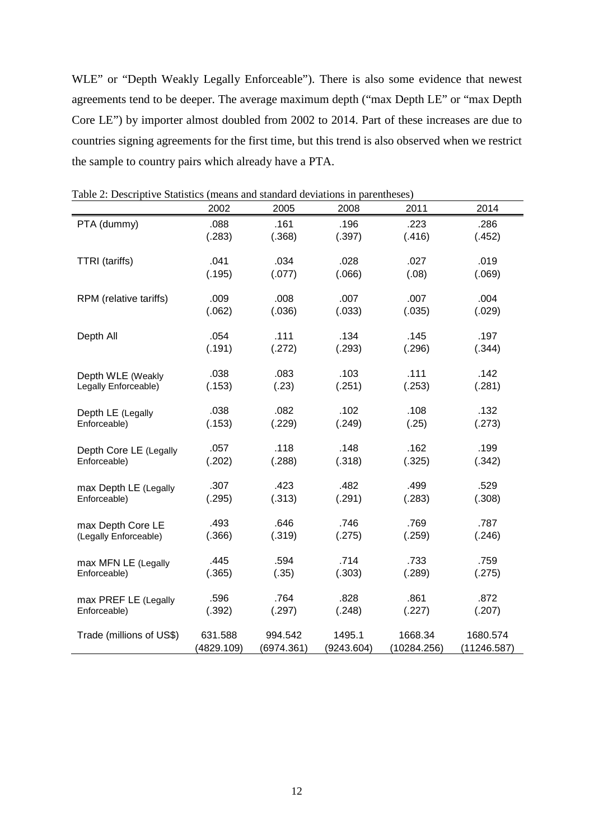WLE" or "Depth Weakly Legally Enforceable"). There is also some evidence that newest agreements tend to be deeper. The average maximum depth ("max Depth LE" or "max Depth Core LE") by importer almost doubled from 2002 to 2014. Part of these increases are due to countries signing agreements for the first time, but this trend is also observed when we restrict the sample to country pairs which already have a PTA.

|                          | 2002       | 2005       | 2008       | 2011        | 2014        |
|--------------------------|------------|------------|------------|-------------|-------------|
| PTA (dummy)              | .088       | .161       | .196       | .223        | .286        |
|                          | (.283)     | (.368)     | (.397)     | (.416)      | (.452)      |
| <b>TTRI</b> (tariffs)    | .041       | .034       | .028       | .027        | .019        |
|                          | (.195)     | (.077)     | (.066)     | (.08)       | (.069)      |
| RPM (relative tariffs)   | .009       | .008       | .007       | .007        | .004        |
|                          | (.062)     | (.036)     | (.033)     | (.035)      | (.029)      |
| Depth All                | .054       | .111       | .134       | .145        | .197        |
|                          | (.191)     | (.272)     | (.293)     | (.296)      | (.344)      |
| Depth WLE (Weakly        | .038       | .083       | .103       | .111        | .142        |
| Legally Enforceable)     | (.153)     | (.23)      | (.251)     | (.253)      | (.281)      |
| Depth LE (Legally        | .038       | .082       | .102       | .108        | .132        |
| Enforceable)             | (.153)     | (.229)     | (.249)     | (.25)       | (.273)      |
| Depth Core LE (Legally   | .057       | .118       | .148       | .162        | .199        |
| Enforceable)             | (.202)     | (.288)     | (.318)     | (.325)      | (.342)      |
| max Depth LE (Legally    | .307       | .423       | .482       | .499        | .529        |
| Enforceable)             | (.295)     | (.313)     | (.291)     | (.283)      | (.308)      |
| max Depth Core LE        | .493       | .646       | .746       | .769        | .787        |
| (Legally Enforceable)    | (.366)     | (.319)     | (.275)     | (.259)      | (.246)      |
| max MFN LE (Legally      | .445       | .594       | .714       | .733        | .759        |
| Enforceable)             | (.365)     | (.35)      | (.303)     | (.289)      | (.275)      |
| max PREF LE (Legally     | .596       | .764       | .828       | .861        | .872        |
| Enforceable)             | (.392)     | (.297)     | (.248)     | (.227)      | (.207)      |
| Trade (millions of US\$) | 631.588    | 994.542    | 1495.1     | 1668.34     | 1680.574    |
|                          | (4829.109) | (6974.361) | (9243.604) | (10284.256) | (11246.587) |

Table 2: Descriptive Statistics (means and standard deviations in parentheses)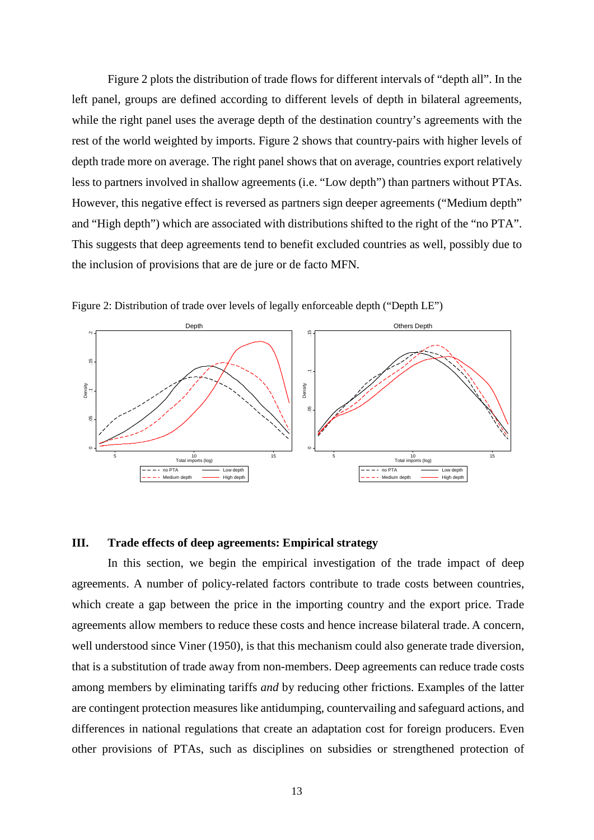Figure 2 plots the distribution of trade flows for different intervals of "depth all". In the left panel, groups are defined according to different levels of depth in bilateral agreements, while the right panel uses the average depth of the destination country's agreements with the rest of the world weighted by imports. Figure 2 shows that country-pairs with higher levels of depth trade more on average. The right panel shows that on average, countries export relatively less to partners involved in shallow agreements (i.e. "Low depth") than partners without PTAs. However, this negative effect is reversed as partners sign deeper agreements ("Medium depth" and "High depth") which are associated with distributions shifted to the right of the "no PTA". This suggests that deep agreements tend to benefit excluded countries as well, possibly due to the inclusion of provisions that are de jure or de facto MFN.





# **III. Trade effects of deep agreements: Empirical strategy**

In this section, we begin the empirical investigation of the trade impact of deep agreements. A number of policy-related factors contribute to trade costs between countries, which create a gap between the price in the importing country and the export price. Trade agreements allow members to reduce these costs and hence increase bilateral trade. A concern, well understood since Viner (1950), is that this mechanism could also generate trade diversion, that is a substitution of trade away from non-members. Deep agreements can reduce trade costs among members by eliminating tariffs *and* by reducing other frictions. Examples of the latter are contingent protection measures like antidumping, countervailing and safeguard actions, and differences in national regulations that create an adaptation cost for foreign producers. Even other provisions of PTAs, such as disciplines on subsidies or strengthened protection of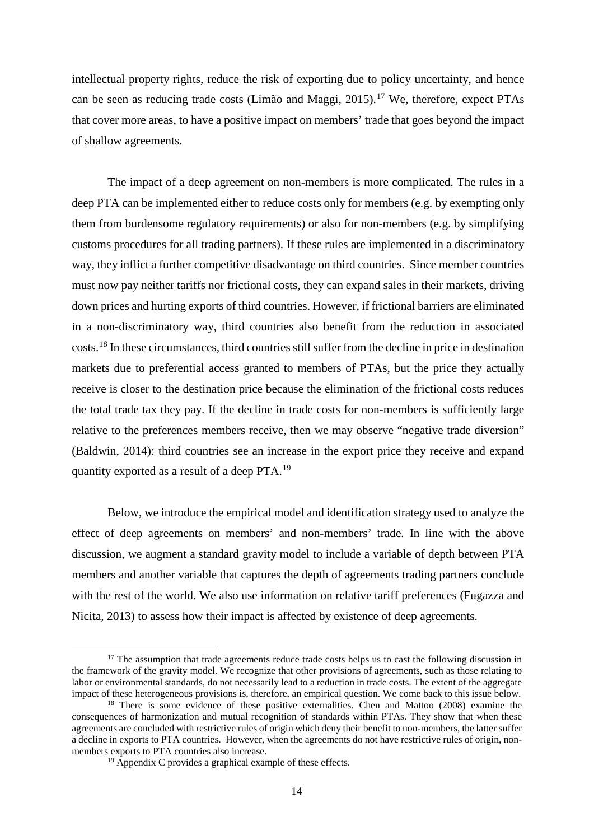intellectual property rights, reduce the risk of exporting due to policy uncertainty, and hence can be seen as reducing trade costs (Limão and Maggi, 2015). [17](#page-13-0) We, therefore, expect PTAs that cover more areas, to have a positive impact on members' trade that goes beyond the impact of shallow agreements.

The impact of a deep agreement on non-members is more complicated. The rules in a deep PTA can be implemented either to reduce costs only for members (e.g. by exempting only them from burdensome regulatory requirements) or also for non-members (e.g. by simplifying customs procedures for all trading partners). If these rules are implemented in a discriminatory way, they inflict a further competitive disadvantage on third countries. Since member countries must now pay neither tariffs nor frictional costs, they can expand sales in their markets, driving down prices and hurting exports of third countries. However, if frictional barriers are eliminated in a non-discriminatory way, third countries also benefit from the reduction in associated costs.[18](#page-13-1) In these circumstances, third countries still suffer from the decline in price in destination markets due to preferential access granted to members of PTAs, but the price they actually receive is closer to the destination price because the elimination of the frictional costs reduces the total trade tax they pay. If the decline in trade costs for non-members is sufficiently large relative to the preferences members receive, then we may observe "negative trade diversion" (Baldwin, 2014): third countries see an increase in the export price they receive and expand quantity exported as a result of a deep PTA.[19](#page-13-2)

Below, we introduce the empirical model and identification strategy used to analyze the effect of deep agreements on members' and non-members' trade. In line with the above discussion, we augment a standard gravity model to include a variable of depth between PTA members and another variable that captures the depth of agreements trading partners conclude with the rest of the world. We also use information on relative tariff preferences (Fugazza and Nicita, 2013) to assess how their impact is affected by existence of deep agreements.

<span id="page-13-0"></span><sup>&</sup>lt;sup>17</sup> The assumption that trade agreements reduce trade costs helps us to cast the following discussion in the framework of the gravity model. We recognize that other provisions of agreements, such as those relating to labor or environmental standards, do not necessarily lead to a reduction in trade costs. The extent of the aggregate impact of these heterogeneous provisions is, therefore, an empirical question. We come back to this issue

<span id="page-13-2"></span><span id="page-13-1"></span><sup>&</sup>lt;sup>18</sup> There is some evidence of these positive externalities. Chen and Mattoo (2008) examine the consequences of harmonization and mutual recognition of standards within PTAs. They show that when these agreements are concluded with restrictive rules of origin which deny their benefit to non-members, the latter suffer a decline in exports to PTA countries. However, when the agreements do not have restrictive rules of origin, nonmembers exports to PTA countries also increase.

 $19$  Appendix C provides a graphical example of these effects.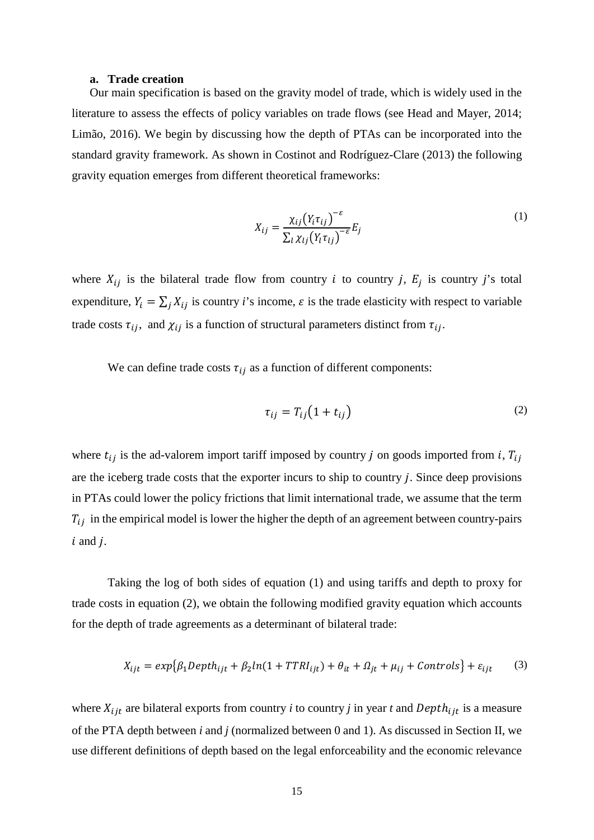#### **a. Trade creation**

Our main specification is based on the gravity model of trade, which is widely used in the literature to assess the effects of policy variables on trade flows (see Head and Mayer, 2014; Limão, 2016). We begin by discussing how the depth of PTAs can be incorporated into the standard gravity framework. As shown in Costinot and Rodríguez-Clare (2013) the following gravity equation emerges from different theoretical frameworks:

$$
X_{ij} = \frac{\chi_{ij} (Y_i \tau_{ij})^{-\varepsilon}}{\sum_l \chi_{lj} (Y_l \tau_{lj})^{-\varepsilon}} E_j
$$
\n(1)

where  $X_{ij}$  is the bilateral trade flow from country *i* to country *j*,  $E_j$  is country *j*'s total expenditure,  $Y_i = \sum_j X_{ij}$  is country *i*'s income,  $\varepsilon$  is the trade elasticity with respect to variable trade costs  $\tau_{ij}$ , and  $\chi_{ij}$  is a function of structural parameters distinct from  $\tau_{ij}$ .

We can define trade costs  $\tau_{ij}$  as a function of different components:

$$
\tau_{ij} = T_{ij} \left( 1 + t_{ij} \right) \tag{2}
$$

where  $t_{ij}$  is the ad-valorem import tariff imposed by country *j* on goods imported from *i*,  $T_{ij}$ are the iceberg trade costs that the exporter incurs to ship to country  $j$ . Since deep provisions in PTAs could lower the policy frictions that limit international trade, we assume that the term  $T_{ij}$  in the empirical model is lower the higher the depth of an agreement between country-pairs  $i$  and  $j$ .

Taking the log of both sides of equation (1) and using tariffs and depth to proxy for trade costs in equation (2), we obtain the following modified gravity equation which accounts for the depth of trade agreements as a determinant of bilateral trade:

$$
X_{ijt} = exp\{\beta_1 Depth_{ijt} + \beta_2 ln(1 + TTRI_{ijt}) + \theta_{it} + \Omega_{jt} + \mu_{ij} + Controls\} + \varepsilon_{ijt} \tag{3}
$$

where  $X_{ijt}$  are bilateral exports from country *i* to country *j* in year *t* and  $Depth_{ijt}$  is a measure of the PTA depth between *i* and *j* (normalized between 0 and 1). As discussed in Section II, we use different definitions of depth based on the legal enforceability and the economic relevance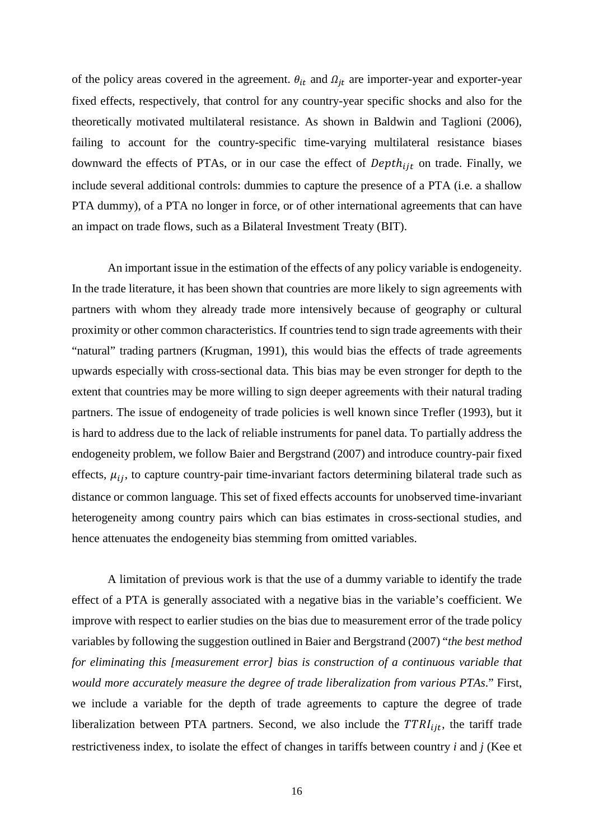of the policy areas covered in the agreement.  $\theta_{it}$  and  $\Omega_{it}$  are importer-year and exporter-year fixed effects, respectively, that control for any country-year specific shocks and also for the theoretically motivated multilateral resistance. As shown in Baldwin and Taglioni (2006), failing to account for the country-specific time-varying multilateral resistance biases downward the effects of PTAs, or in our case the effect of  $Depth_{ijt}$  on trade. Finally, we include several additional controls: dummies to capture the presence of a PTA (i.e. a shallow PTA dummy), of a PTA no longer in force, or of other international agreements that can have an impact on trade flows, such as a Bilateral Investment Treaty (BIT).

An important issue in the estimation of the effects of any policy variable is endogeneity. In the trade literature, it has been shown that countries are more likely to sign agreements with partners with whom they already trade more intensively because of geography or cultural proximity or other common characteristics. If countries tend to sign trade agreements with their "natural" trading partners (Krugman, 1991), this would bias the effects of trade agreements upwards especially with cross-sectional data. This bias may be even stronger for depth to the extent that countries may be more willing to sign deeper agreements with their natural trading partners. The issue of endogeneity of trade policies is well known since Trefler (1993), but it is hard to address due to the lack of reliable instruments for panel data. To partially address the endogeneity problem, we follow Baier and Bergstrand (2007) and introduce country-pair fixed effects,  $\mu_{ij}$ , to capture country-pair time-invariant factors determining bilateral trade such as distance or common language. This set of fixed effects accounts for unobserved time-invariant heterogeneity among country pairs which can bias estimates in cross-sectional studies, and hence attenuates the endogeneity bias stemming from omitted variables.

A limitation of previous work is that the use of a dummy variable to identify the trade effect of a PTA is generally associated with a negative bias in the variable's coefficient. We improve with respect to earlier studies on the bias due to measurement error of the trade policy variables by following the suggestion outlined in Baier and Bergstrand (2007) "*the best method for eliminating this [measurement error] bias is construction of a continuous variable that would more accurately measure the degree of trade liberalization from various PTAs*." First, we include a variable for the depth of trade agreements to capture the degree of trade liberalization between PTA partners. Second, we also include the  $TTRI_{ijt}$ , the tariff trade restrictiveness index, to isolate the effect of changes in tariffs between country *i* and *j* (Kee et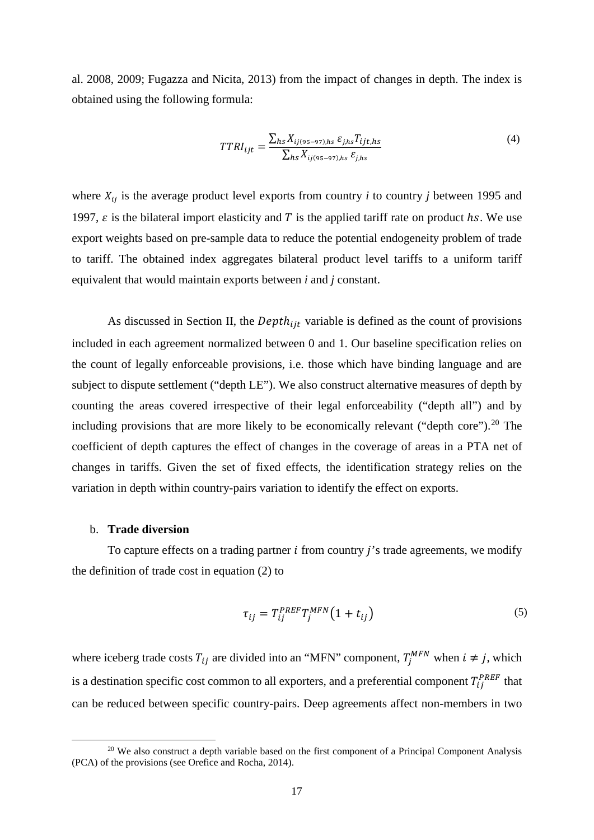al. 2008, 2009; Fugazza and Nicita, 2013) from the impact of changes in depth. The index is obtained using the following formula:

$$
TTRI_{ijt} = \frac{\sum_{hs} X_{ij(s=97),hs} \varepsilon_{j,hs} T_{ijt,hs}}{\sum_{hs} X_{ij(s=97),hs} \varepsilon_{j,hs}}
$$
(4)

where  $X_{ij}$  is the average product level exports from country *i* to country *j* between 1995 and 1997,  $\varepsilon$  is the bilateral import elasticity and T is the applied tariff rate on product hs. We use export weights based on pre-sample data to reduce the potential endogeneity problem of trade to tariff. The obtained index aggregates bilateral product level tariffs to a uniform tariff equivalent that would maintain exports between *i* and *j* constant.

As discussed in Section II, the  $Depth_{\text{lit}}$  variable is defined as the count of provisions included in each agreement normalized between 0 and 1. Our baseline specification relies on the count of legally enforceable provisions, i.e. those which have binding language and are subject to dispute settlement ("depth LE"). We also construct alternative measures of depth by counting the areas covered irrespective of their legal enforceability ("depth all") and by including provisions that are more likely to be economically relevant ("depth core").<sup>[20](#page-16-0)</sup> The coefficient of depth captures the effect of changes in the coverage of areas in a PTA net of changes in tariffs. Given the set of fixed effects, the identification strategy relies on the variation in depth within country-pairs variation to identify the effect on exports.

#### b. **Trade diversion**

To capture effects on a trading partner  $i$  from country  $j$ 's trade agreements, we modify the definition of trade cost in equation (2) to

$$
\tau_{ij} = T_{ij}^{PREF} T_j^{MFN} \left( 1 + t_{ij} \right) \tag{5}
$$

where iceberg trade costs  $T_{ij}$  are divided into an "MFN" component,  $T_j^{MFN}$  when  $i \neq j$ , which is a destination specific cost common to all exporters, and a preferential component  $T_{ij}^{PREF}$  that can be reduced between specific country-pairs. Deep agreements affect non-members in two

<span id="page-16-0"></span><sup>&</sup>lt;sup>20</sup> We also construct a depth variable based on the first component of a Principal Component Analysis (PCA) of the provisions (see Orefice and Rocha, 2014).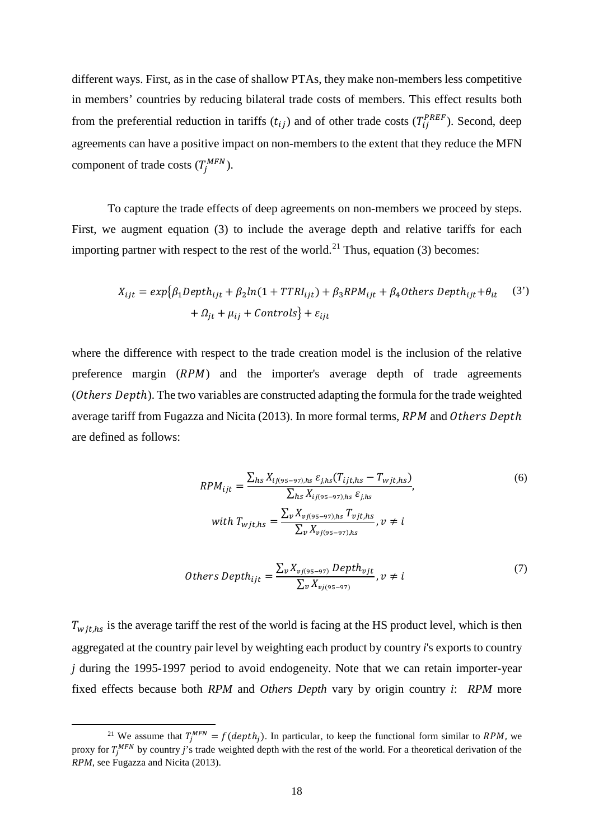different ways. First, as in the case of shallow PTAs, they make non-members less competitive in members' countries by reducing bilateral trade costs of members. This effect results both from the preferential reduction in tariffs  $(t_{ij})$  and of other trade costs  $(T_{ij}^{PREF})$ . Second, deep agreements can have a positive impact on non-members to the extent that they reduce the MFN component of trade costs  $(T_i^{MFN})$ .

To capture the trade effects of deep agreements on non-members we proceed by steps. First, we augment equation (3) to include the average depth and relative tariffs for each importing partner with respect to the rest of the world.<sup>[21](#page-17-0)</sup> Thus, equation (3) becomes:

$$
X_{ijt} = exp{\beta_1 Depth_{ijt} + \beta_2 ln(1 + TTRI_{ijt}) + \beta_3 RPM_{ijt} + \beta_4 Others Depth_{ijt} + \theta_{it}
$$
 (3')  
+  $\Omega_{jt} + \mu_{ij} + Controls$ } +  $\varepsilon_{ijt}$ 

where the difference with respect to the trade creation model is the inclusion of the relative preference margin  $(RPM)$  and the importer's average depth of trade agreements  $(0$ thers Depth). The two variables are constructed adapting the formula for the trade weighted average tariff from Fugazza and Nicita (2013). In more formal terms,  $RPM$  and Others Depth are defined as follows:

$$
RPM_{ijt} = \frac{\sum_{hs} X_{ij(s=97),hs} \varepsilon_{j,hs} (T_{ijt,hs} - T_{wjt,hs})}{\sum_{hs} X_{ij(s=97),hs} \varepsilon_{j,hs}},
$$
(6)  
with  $T_{wjt,hs} = \frac{\sum_{v} X_{vj(s=-97),hs} T_{vjt,hs}}{\sum_{v} X_{vj(s=-97),hs}} , v \neq i$ 

$$
Others \tDepth_{ijt} = \frac{\sum_{v} X_{vj(s_5 - s_7)} \tDepth_{vjt}}{\sum_{v} X_{vj(s_5 - s_7)}}, v \neq i
$$
\n<sup>(7)</sup>

 $T_{withs}$  is the average tariff the rest of the world is facing at the HS product level, which is then aggregated at the country pair level by weighting each product by country *i*'s exports to country *j* during the 1995-1997 period to avoid endogeneity. Note that we can retain importer-year fixed effects because both *RPM* and *Others Depth* vary by origin country *i*: *RPM* more

<span id="page-17-0"></span><sup>&</sup>lt;sup>21</sup> We assume that  $T_i^{MFN} = f(depth_i)$ . In particular, to keep the functional form similar to *RPM*, we proxy for  $T_i^{MFN}$  by country *j*'s trade weighted depth with the rest of the world. For a theoretical derivation of the *RPM*, see Fugazza and Nicita (2013).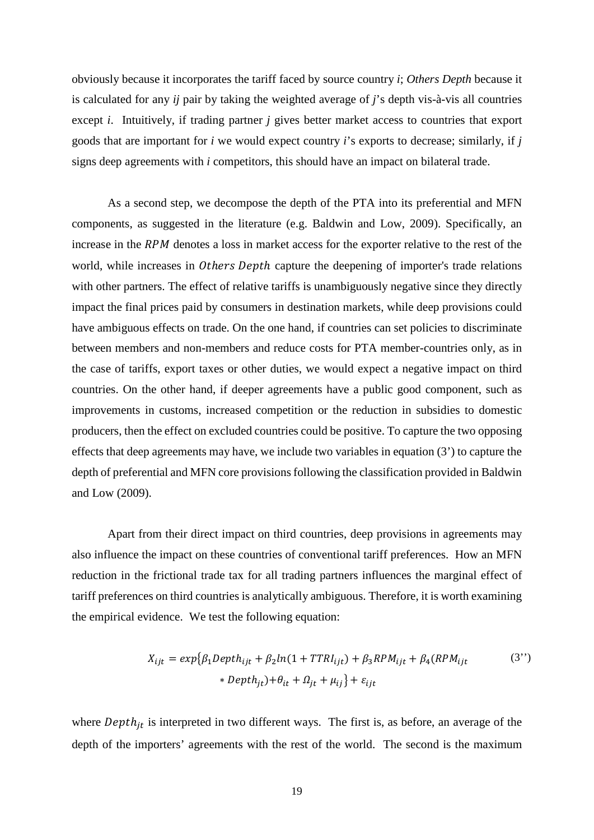obviously because it incorporates the tariff faced by source country *i*; *Others Depth* because it is calculated for any *ij* pair by taking the weighted average of *j*'s depth vis-à-vis all countries except *i*. Intuitively, if trading partner *j* gives better market access to countries that export goods that are important for *i* we would expect country *i*'s exports to decrease; similarly, if *j* signs deep agreements with *i* competitors, this should have an impact on bilateral trade.

As a second step, we decompose the depth of the PTA into its preferential and MFN components, as suggested in the literature (e.g. Baldwin and Low, 2009). Specifically, an increase in the  $RPM$  denotes a loss in market access for the exporter relative to the rest of the world, while increases in *Others Depth* capture the deepening of importer's trade relations with other partners. The effect of relative tariffs is unambiguously negative since they directly impact the final prices paid by consumers in destination markets, while deep provisions could have ambiguous effects on trade. On the one hand, if countries can set policies to discriminate between members and non-members and reduce costs for PTA member-countries only, as in the case of tariffs, export taxes or other duties, we would expect a negative impact on third countries. On the other hand, if deeper agreements have a public good component, such as improvements in customs, increased competition or the reduction in subsidies to domestic producers, then the effect on excluded countries could be positive. To capture the two opposing effects that deep agreements may have, we include two variables in equation (3') to capture the depth of preferential and MFN core provisions following the classification provided in Baldwin and Low (2009).

Apart from their direct impact on third countries, deep provisions in agreements may also influence the impact on these countries of conventional tariff preferences. How an MFN reduction in the frictional trade tax for all trading partners influences the marginal effect of tariff preferences on third countries is analytically ambiguous. Therefore, it is worth examining the empirical evidence. We test the following equation:

$$
X_{ijt} = exp\{\beta_1 Depth_{ijt} + \beta_2 ln(1 + TTRI_{ijt}) + \beta_3 RPM_{ijt} + \beta_4 (RPM_{ijt} \tag{3'}
$$

$$
* Depth_{jt}) + \theta_{it} + \Omega_{jt} + \mu_{ij}\} + \varepsilon_{ijt}
$$

where  $Depth_{jt}$  is interpreted in two different ways. The first is, as before, an average of the depth of the importers' agreements with the rest of the world. The second is the maximum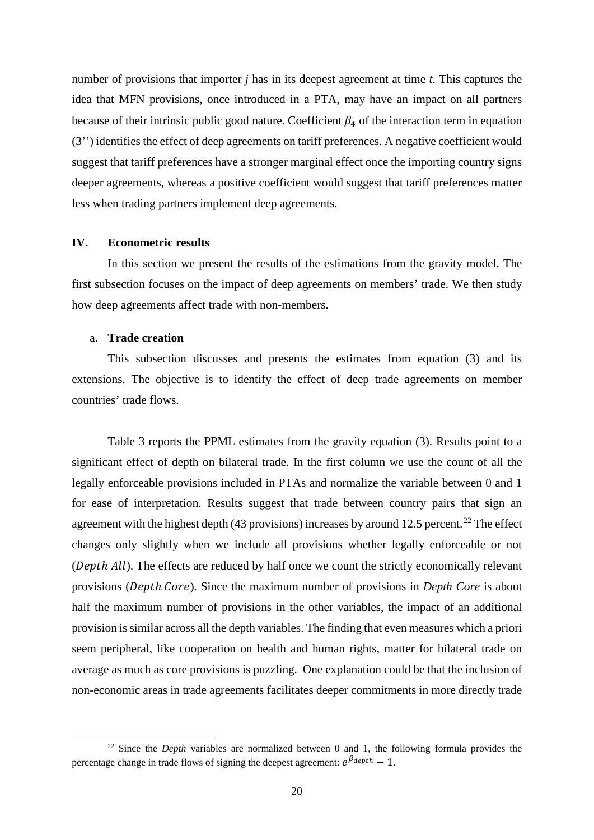number of provisions that importer *j* has in its deepest agreement at time *t*. This captures the idea that MFN provisions, once introduced in a PTA, may have an impact on all partners because of their intrinsic public good nature. Coefficient  $\beta_4$  of the interaction term in equation (3'') identifies the effect of deep agreements on tariff preferences. A negative coefficient would suggest that tariff preferences have a stronger marginal effect once the importing country signs deeper agreements, whereas a positive coefficient would suggest that tariff preferences matter less when trading partners implement deep agreements.

### **IV. Econometric results**

In this section we present the results of the estimations from the gravity model. The first subsection focuses on the impact of deep agreements on members' trade. We then study how deep agreements affect trade with non-members.

## a. **Trade creation**

This subsection discusses and presents the estimates from equation (3) and its extensions. The objective is to identify the effect of deep trade agreements on member countries' trade flows.

Table 3 reports the PPML estimates from the gravity equation (3). Results point to a significant effect of depth on bilateral trade. In the first column we use the count of all the legally enforceable provisions included in PTAs and normalize the variable between 0 and 1 for ease of interpretation. Results suggest that trade between country pairs that sign an agreement with the highest depth (43 provisions) increases by around 12.5 percent.<sup>[22](#page-19-0)</sup> The effect changes only slightly when we include all provisions whether legally enforceable or not  $(Depth All)$ . The effects are reduced by half once we count the strictly economically relevant provisions (*Depth Core*). Since the maximum number of provisions in *Depth Core* is about half the maximum number of provisions in the other variables, the impact of an additional provision is similar across all the depth variables. The finding that even measures which a priori seem peripheral, like cooperation on health and human rights, matter for bilateral trade on average as much as core provisions is puzzling. One explanation could be that the inclusion of non-economic areas in trade agreements facilitates deeper commitments in more directly trade

<span id="page-19-0"></span><sup>&</sup>lt;sup>22</sup> Since the *Depth* variables are normalized between 0 and 1, the following formula provides the percentage change in trade flows of signing the deepest agreement:  $e^{\beta_{depth}} - 1$ .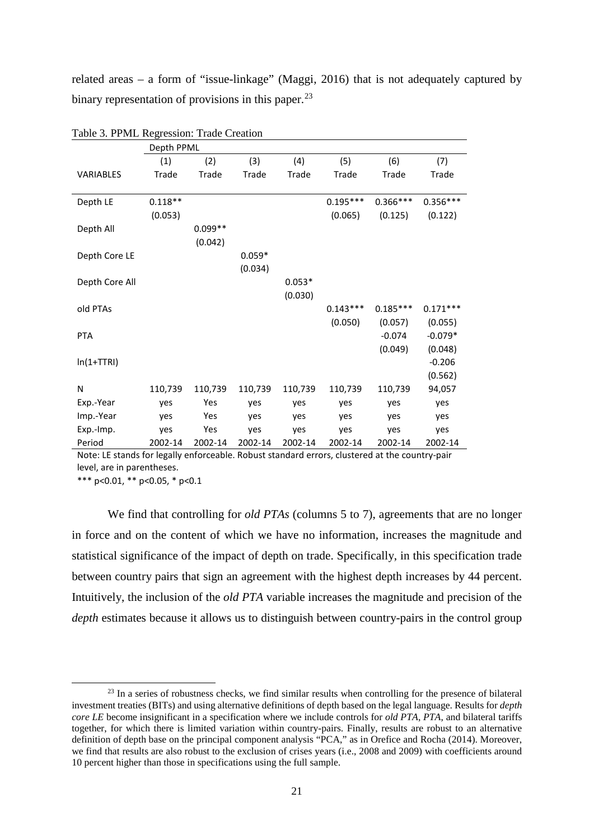related areas – a form of "issue-linkage" (Maggi, 2016) that is not adequately captured by binary representation of provisions in this paper.<sup>[23](#page-20-0)</sup>

|                  | Depth PPML   |           |          |          |            |            |            |
|------------------|--------------|-----------|----------|----------|------------|------------|------------|
|                  | (1)          | (2)       | (3)      | (4)      | (5)        | (6)        | (7)        |
| <b>VARIABLES</b> | <b>Trade</b> | Trade     | Trade    | Trade    | Trade      | Trade      | Trade      |
|                  |              |           |          |          |            |            |            |
| Depth LE         | $0.118**$    |           |          |          | $0.195***$ | $0.366***$ | $0.356***$ |
|                  | (0.053)      |           |          |          | (0.065)    | (0.125)    | (0.122)    |
| Depth All        |              | $0.099**$ |          |          |            |            |            |
|                  |              | (0.042)   |          |          |            |            |            |
| Depth Core LE    |              |           | $0.059*$ |          |            |            |            |
|                  |              |           | (0.034)  |          |            |            |            |
| Depth Core All   |              |           |          | $0.053*$ |            |            |            |
|                  |              |           |          | (0.030)  |            |            |            |
| old PTAs         |              |           |          |          | $0.143***$ | $0.185***$ | $0.171***$ |
|                  |              |           |          |          | (0.050)    | (0.057)    | (0.055)    |
| <b>PTA</b>       |              |           |          |          |            | $-0.074$   | $-0.079*$  |
|                  |              |           |          |          |            | (0.049)    | (0.048)    |
| $ln(1+TTRI)$     |              |           |          |          |            |            | $-0.206$   |
|                  |              |           |          |          |            |            | (0.562)    |
| N                |              | 110,739   |          |          |            |            |            |
|                  | 110,739      |           | 110,739  | 110,739  | 110,739    | 110,739    | 94,057     |
| Exp.-Year        | yes          | Yes       | yes      | yes      | yes        | yes        | yes        |
| Imp.-Year        | yes          | Yes       | yes      | yes      | yes        | yes        | yes        |
| Exp.-Imp.        | yes          | Yes       | yes      | yes      | yes        | yes        | yes        |
| Period           | 2002-14      | 2002-14   | 2002-14  | 2002-14  | 2002-14    | 2002-14    | 2002-14    |

Table 3. PPML Regression: Trade Creation

Note: LE stands for legally enforceable. Robust standard errors, clustered at the country-pair level, are in parentheses.

\*\*\* p<0.01, \*\* p<0.05, \* p<0.1

We find that controlling for *old PTAs* (columns 5 to 7), agreements that are no longer in force and on the content of which we have no information, increases the magnitude and statistical significance of the impact of depth on trade. Specifically, in this specification trade between country pairs that sign an agreement with the highest depth increases by 44 percent. Intuitively, the inclusion of the *old PTA* variable increases the magnitude and precision of the *depth* estimates because it allows us to distinguish between country-pairs in the control group

<span id="page-20-0"></span><sup>&</sup>lt;sup>23</sup> In a series of robustness checks, we find similar results when controlling for the presence of bilateral investment treaties (BITs) and using alternative definitions of depth based on the legal language. Results for *depth core LE* become insignificant in a specification where we include controls for *old PTA*, *PTA*, and bilateral tariffs together, for which there is limited variation within country-pairs. Finally, results are robust to an alternative definition of depth base on the principal component analysis "PCA," as in Orefice and Rocha (2014). Moreover, we find that results are also robust to the exclusion of crises years (i.e., 2008 and 2009) with coefficients around 10 percent higher than those in specifications using the full sample.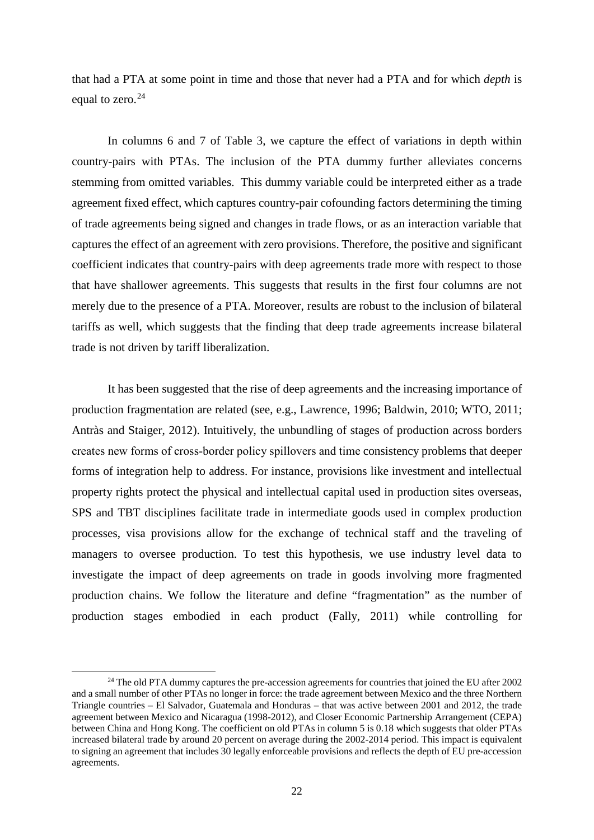that had a PTA at some point in time and those that never had a PTA and for which *depth* is equal to zero. $24$ 

In columns 6 and 7 of Table 3, we capture the effect of variations in depth within country-pairs with PTAs. The inclusion of the PTA dummy further alleviates concerns stemming from omitted variables. This dummy variable could be interpreted either as a trade agreement fixed effect, which captures country-pair cofounding factors determining the timing of trade agreements being signed and changes in trade flows, or as an interaction variable that captures the effect of an agreement with zero provisions. Therefore, the positive and significant coefficient indicates that country-pairs with deep agreements trade more with respect to those that have shallower agreements. This suggests that results in the first four columns are not merely due to the presence of a PTA. Moreover, results are robust to the inclusion of bilateral tariffs as well, which suggests that the finding that deep trade agreements increase bilateral trade is not driven by tariff liberalization.

It has been suggested that the rise of deep agreements and the increasing importance of production fragmentation are related (see, e.g., Lawrence, 1996; Baldwin, 2010; WTO, 2011; Antràs and Staiger, 2012). Intuitively, the unbundling of stages of production across borders creates new forms of cross‐border policy spillovers and time consistency problems that deeper forms of integration help to address. For instance, provisions like investment and intellectual property rights protect the physical and intellectual capital used in production sites overseas, SPS and TBT disciplines facilitate trade in intermediate goods used in complex production processes, visa provisions allow for the exchange of technical staff and the traveling of managers to oversee production. To test this hypothesis, we use industry level data to investigate the impact of deep agreements on trade in goods involving more fragmented production chains. We follow the literature and define "fragmentation" as the number of production stages embodied in each product (Fally, 2011) while controlling for

<span id="page-21-0"></span><sup>&</sup>lt;sup>24</sup> The old PTA dummy captures the pre-accession agreements for countries that joined the EU after 2002 and a small number of other PTAs no longer in force: the trade agreement between Mexico and the three Northern Triangle countries – El Salvador, Guatemala and Honduras – that was active between 2001 and 2012, the trade agreement between Mexico and Nicaragua (1998-2012), and Closer Economic Partnership Arrangement (CEPA) between China and Hong Kong. The coefficient on old PTAs in column 5 is 0.18 which suggests that older PTAs increased bilateral trade by around 20 percent on average during the 2002-2014 period. This impact is equivalent to signing an agreement that includes 30 legally enforceable provisions and reflects the depth of EU pre-accession agreements.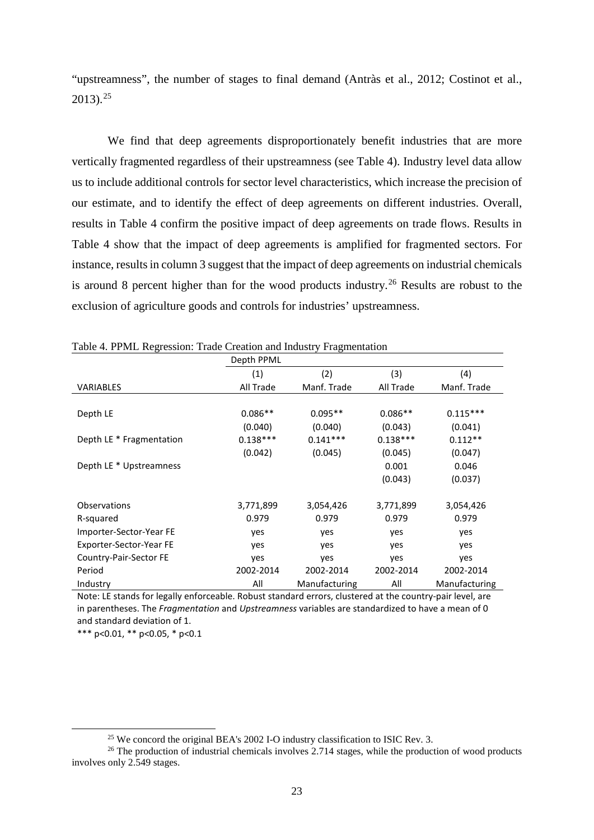"upstreamness", the number of stages to final demand (Antràs et al., 2012; Costinot et al., 2013). [25](#page-22-0)

We find that deep agreements disproportionately benefit industries that are more vertically fragmented regardless of their upstreamness (see Table 4). Industry level data allow us to include additional controls for sector level characteristics, which increase the precision of our estimate, and to identify the effect of deep agreements on different industries. Overall, results in Table 4 confirm the positive impact of deep agreements on trade flows. Results in Table 4 show that the impact of deep agreements is amplified for fragmented sectors. For instance, results in column 3 suggest that the impact of deep agreements on industrial chemicals is around 8 percent higher than for the wood products industry.<sup>[26](#page-22-1)</sup> Results are robust to the exclusion of agriculture goods and controls for industries' upstreamness.

|                          | Depth PPML |               |            |               |
|--------------------------|------------|---------------|------------|---------------|
|                          | (1)        | (2)           | (3)        | (4)           |
| <b>VARIABLES</b>         | All Trade  | Manf. Trade   | All Trade  | Manf. Trade   |
|                          |            |               |            |               |
| Depth LE                 | $0.086**$  | $0.095**$     | $0.086**$  | $0.115***$    |
|                          | (0.040)    | (0.040)       | (0.043)    | (0.041)       |
| Depth LE * Fragmentation | $0.138***$ | $0.141***$    | $0.138***$ | $0.112**$     |
|                          | (0.042)    | (0.045)       | (0.045)    | (0.047)       |
| Depth LE * Upstreamness  |            |               | 0.001      | 0.046         |
|                          |            |               | (0.043)    | (0.037)       |
|                          |            |               |            |               |
| <b>Observations</b>      | 3,771,899  | 3,054,426     | 3,771,899  | 3,054,426     |
| R-squared                | 0.979      | 0.979         | 0.979      | 0.979         |
| Importer-Sector-Year FE  | yes        | yes           | yes        | yes           |
| Exporter-Sector-Year FE  | yes        | yes           | yes        | yes           |
| Country-Pair-Sector FE   | yes        | yes           | yes        | yes           |
| Period                   | 2002-2014  | 2002-2014     | 2002-2014  | 2002-2014     |
| Industry                 | All        | Manufacturing | All        | Manufacturing |

Table 4. PPML Regression: Trade Creation and Industry Fragmentation

Note: LE stands for legally enforceable. Robust standard errors, clustered at the country-pair level, are in parentheses. The *Fragmentation* and *Upstreamness* variables are standardized to have a mean of 0 and standard deviation of 1.

\*\*\* p<0.01, \*\* p<0.05, \* p<0.1

<sup>&</sup>lt;sup>25</sup> We concord the original BEA's 2002 I-O industry classification to ISIC Rev. 3.

<span id="page-22-1"></span><span id="page-22-0"></span><sup>&</sup>lt;sup>26</sup> The production of industrial chemicals involves 2.714 stages, while the production of wood products involves only 2.549 stages.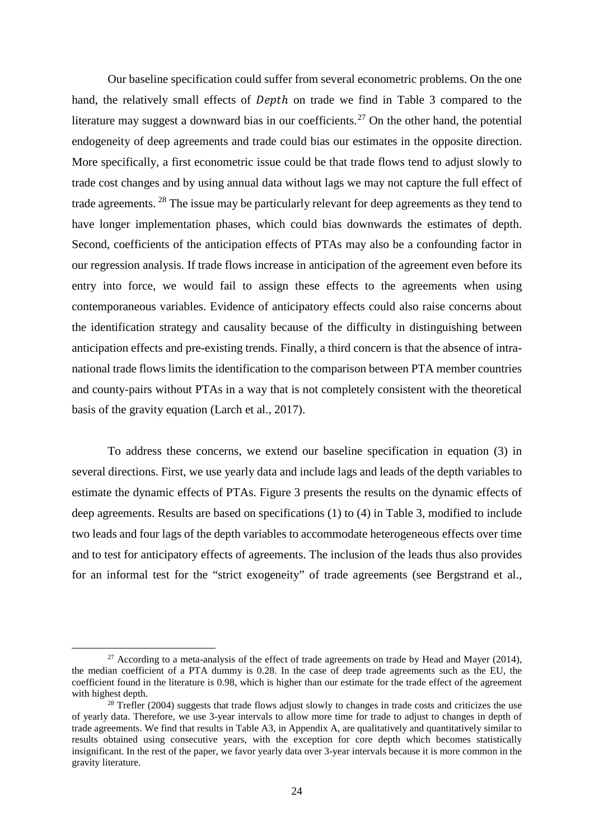Our baseline specification could suffer from several econometric problems. On the one hand, the relatively small effects of *Depth* on trade we find in Table 3 compared to the literature may suggest a downward bias in our coefficients.<sup>[27](#page-23-0)</sup> On the other hand, the potential endogeneity of deep agreements and trade could bias our estimates in the opposite direction. More specifically, a first econometric issue could be that trade flows tend to adjust slowly to trade cost changes and by using annual data without lags we may not capture the full effect of trade agreements. [28](#page-23-1) The issue may be particularly relevant for deep agreements as they tend to have longer implementation phases, which could bias downwards the estimates of depth. Second, coefficients of the anticipation effects of PTAs may also be a confounding factor in our regression analysis. If trade flows increase in anticipation of the agreement even before its entry into force, we would fail to assign these effects to the agreements when using contemporaneous variables. Evidence of anticipatory effects could also raise concerns about the identification strategy and causality because of the difficulty in distinguishing between anticipation effects and pre-existing trends. Finally, a third concern is that the absence of intranational trade flows limits the identification to the comparison between PTA member countries and county-pairs without PTAs in a way that is not completely consistent with the theoretical basis of the gravity equation (Larch et al., 2017).

To address these concerns, we extend our baseline specification in equation (3) in several directions. First, we use yearly data and include lags and leads of the depth variables to estimate the dynamic effects of PTAs. Figure 3 presents the results on the dynamic effects of deep agreements. Results are based on specifications (1) to (4) in Table 3, modified to include two leads and four lags of the depth variables to accommodate heterogeneous effects over time and to test for anticipatory effects of agreements. The inclusion of the leads thus also provides for an informal test for the "strict exogeneity" of trade agreements (see Bergstrand et al.,

<span id="page-23-0"></span> $27$  According to a meta-analysis of the effect of trade agreements on trade by Head and Mayer (2014), the median coefficient of a PTA dummy is 0.28. In the case of deep trade agreements such as the EU, the coefficient found in the literature is 0.98, which is higher than our estimate for the trade effect of the agreement with highest depth.<br><sup>28</sup> Trefler (2004) suggests that trade flows adjust slowly to changes in trade costs and criticizes the use

<span id="page-23-1"></span>of yearly data. Therefore, we use 3-year intervals to allow more time for trade to adjust to changes in depth of trade agreements. We find that results in Table A3, in Appendix A, are qualitatively and quantitatively similar to results obtained using consecutive years, with the exception for core depth which becomes statistically insignificant. In the rest of the paper, we favor yearly data over 3-year intervals because it is more common in the gravity literature.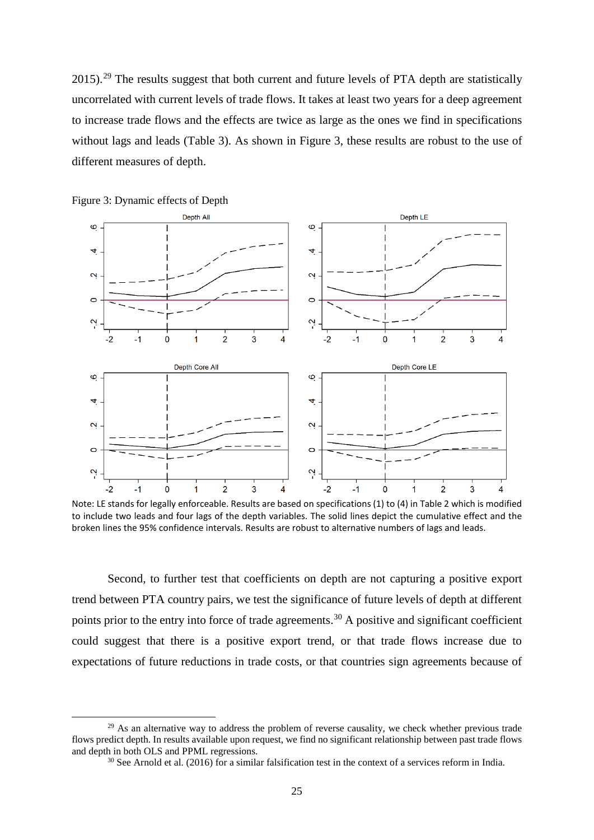2015).<sup>[29](#page-24-0)</sup> The results suggest that both current and future levels of PTA depth are statistically uncorrelated with current levels of trade flows. It takes at least two years for a deep agreement to increase trade flows and the effects are twice as large as the ones we find in specifications without lags and leads (Table 3). As shown in Figure 3, these results are robust to the use of different measures of depth.



Figure 3: Dynamic effects of Depth

Note: LE stands for legally enforceable. Results are based on specifications (1) to (4) in Table 2 which is modified to include two leads and four lags of the depth variables. The solid lines depict the cumulative effect and the broken lines the 95% confidence intervals. Results are robust to alternative numbers of lags and leads.

Second, to further test that coefficients on depth are not capturing a positive export trend between PTA country pairs, we test the significance of future levels of depth at different points prior to the entry into force of trade agreements.<sup>[30](#page-24-1)</sup> A positive and significant coefficient could suggest that there is a positive export trend, or that trade flows increase due to expectations of future reductions in trade costs, or that countries sign agreements because of

<span id="page-24-1"></span><span id="page-24-0"></span> $^{29}$  As an alternative way to address the problem of reverse causality, we check whether previous trade flows predict depth. In results available upon request, we find no significant relationship between past trade flows and depth in both OLS and PPML regressions.

<sup>&</sup>lt;sup>30</sup> See Arnold et al. (2016) for a similar falsification test in the context of a services reform in India.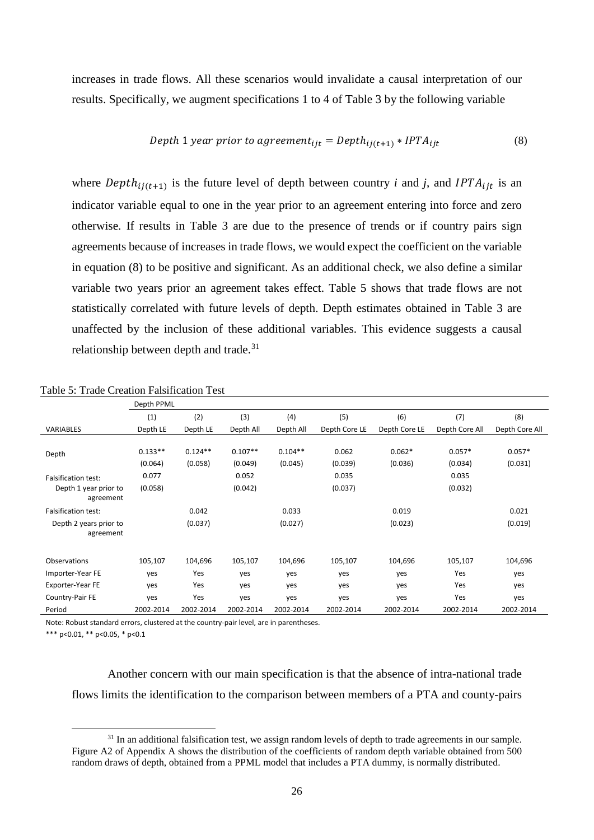increases in trade flows. All these scenarios would invalidate a causal interpretation of our results. Specifically, we augment specifications 1 to 4 of Table 3 by the following variable

Depth 1 year prior to agreement<sub>ijt</sub> = 
$$
Depth_{ij(t+1)} * IPTA_{ijt}
$$
 (8)

where *Depth* $_{i}$ <sub>i</sub> $_{t+1}$  is the future level of depth between country *i* and *j*, and *IPTA* $_{i}$  is an indicator variable equal to one in the year prior to an agreement entering into force and zero otherwise. If results in Table 3 are due to the presence of trends or if country pairs sign agreements because of increases in trade flows, we would expect the coefficient on the variable in equation (8) to be positive and significant. As an additional check, we also define a similar variable two years prior an agreement takes effect. Table 5 shows that trade flows are not statistically correlated with future levels of depth. Depth estimates obtained in Table 3 are unaffected by the inclusion of these additional variables. This evidence suggests a causal relationship between depth and trade.<sup>[31](#page-25-0)</sup>

|                                     | Depth PPML |           |           |           |               |               |                |                |
|-------------------------------------|------------|-----------|-----------|-----------|---------------|---------------|----------------|----------------|
|                                     | (1)        | (2)       | (3)       | (4)       | (5)           | (6)           | (7)            | (8)            |
| <b>VARIABLES</b>                    | Depth LE   | Depth LE  | Depth All | Depth All | Depth Core LE | Depth Core LE | Depth Core All | Depth Core All |
|                                     |            |           |           |           |               |               |                |                |
| Depth                               | $0.133**$  | $0.124**$ | $0.107**$ | $0.104**$ | 0.062         | $0.062*$      | $0.057*$       | $0.057*$       |
|                                     | (0.064)    | (0.058)   | (0.049)   | (0.045)   | (0.039)       | (0.036)       | (0.034)        | (0.031)        |
| <b>Falsification test:</b>          | 0.077      |           | 0.052     |           | 0.035         |               | 0.035          |                |
| Depth 1 year prior to<br>agreement  | (0.058)    |           | (0.042)   |           | (0.037)       |               | (0.032)        |                |
| <b>Falsification test:</b>          |            | 0.042     |           | 0.033     |               | 0.019         |                | 0.021          |
| Depth 2 years prior to<br>agreement |            | (0.037)   |           | (0.027)   |               | (0.023)       |                | (0.019)        |
|                                     |            |           |           |           |               |               |                |                |
| Observations                        | 105,107    | 104,696   | 105,107   | 104,696   | 105,107       | 104,696       | 105,107        | 104,696        |
| Importer-Year FE                    | yes        | Yes       | yes       | yes       | yes           | yes           | Yes            | yes            |
| Exporter-Year FE                    | yes        | Yes       | yes       | yes       | yes           | yes           | Yes            | yes            |
| Country-Pair FE                     | yes        | Yes       | yes       | yes       | yes           | yes           | Yes            | yes            |
| Period                              | 2002-2014  | 2002-2014 | 2002-2014 | 2002-2014 | 2002-2014     | 2002-2014     | 2002-2014      | 2002-2014      |

Table 5: Trade Creation Falsification Test

Note: Robust standard errors, clustered at the country-pair level, are in parentheses.

\*\*\* p<0.01, \*\* p<0.05, \* p<0.1

Another concern with our main specification is that the absence of intra-national trade flows limits the identification to the comparison between members of a PTA and county-pairs

<span id="page-25-0"></span> $31$  In an additional falsification test, we assign random levels of depth to trade agreements in our sample. Figure A2 of Appendix A shows the distribution of the coefficients of random depth variable obtained from 500 random draws of depth, obtained from a PPML model that includes a PTA dummy, is normally distributed.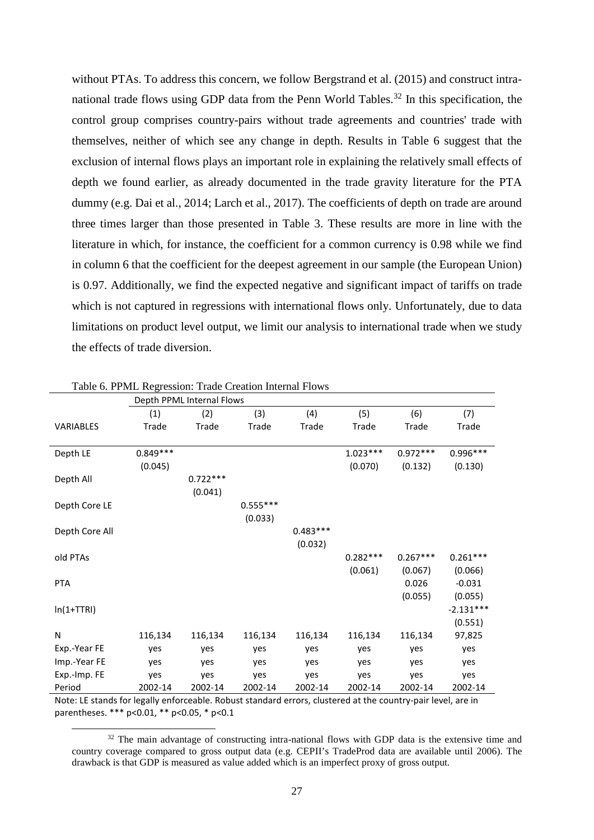without PTAs. To address this concern, we follow Bergstrand et al. (2015) and construct intra-national trade flows using GDP data from the Penn World Tables.<sup>[32](#page-26-0)</sup> In this specification, the control group comprises country-pairs without trade agreements and countries' trade with themselves, neither of which see any change in depth. Results in Table 6 suggest that the exclusion of internal flows plays an important role in explaining the relatively small effects of depth we found earlier, as already documented in the trade gravity literature for the PTA dummy (e.g. Dai et al., 2014; Larch et al., 2017). The coefficients of depth on trade are around three times larger than those presented in Table 3. These results are more in line with the literature in which, for instance, the coefficient for a common currency is 0.98 while we find in column 6 that the coefficient for the deepest agreement in our sample (the European Union) is 0.97. Additionally, we find the expected negative and significant impact of tariffs on trade which is not captured in regressions with international flows only. Unfortunately, due to data limitations on product level output, we limit our analysis to international trade when we study the effects of trade diversion.

|                  |            | Depth PPML Internal Flows |            |            |            |            |             |
|------------------|------------|---------------------------|------------|------------|------------|------------|-------------|
|                  | (1)        | (2)                       | (3)        | (4)        | (5)        | (6)        | (7)         |
| <b>VARIABLES</b> | Trade      | Trade                     | Trade      | Trade      | Trade      | Trade      | Trade       |
|                  |            |                           |            |            |            |            |             |
| Depth LE         | $0.849***$ |                           |            |            | $1.023***$ | $0.972***$ | $0.996***$  |
|                  | (0.045)    |                           |            |            | (0.070)    | (0.132)    | (0.130)     |
| Depth All        |            | $0.722***$                |            |            |            |            |             |
|                  |            | (0.041)                   |            |            |            |            |             |
| Depth Core LE    |            |                           | $0.555***$ |            |            |            |             |
|                  |            |                           | (0.033)    |            |            |            |             |
| Depth Core All   |            |                           |            | $0.483***$ |            |            |             |
|                  |            |                           |            | (0.032)    |            |            |             |
| old PTAs         |            |                           |            |            | $0.282***$ | $0.267***$ | $0.261***$  |
|                  |            |                           |            |            | (0.061)    | (0.067)    | (0.066)     |
| <b>PTA</b>       |            |                           |            |            |            | 0.026      | $-0.031$    |
|                  |            |                           |            |            |            | (0.055)    | (0.055)     |
| $ln(1+TTRI)$     |            |                           |            |            |            |            | $-2.131***$ |
|                  |            |                           |            |            |            |            | (0.551)     |
| Ν                | 116,134    | 116,134                   | 116,134    | 116,134    | 116,134    | 116,134    | 97,825      |
| Exp.-Year FE     | yes        | yes                       | yes        | yes        | yes        | yes        | yes         |
| Imp.-Year FE     | yes        | yes                       | yes        | yes        | yes        | yes        | yes         |
| Exp.-Imp. FE     | yes        | yes                       | yes        | yes        | yes        | yes        | yes         |
| Period           | 2002-14    | 2002-14                   | 2002-14    | 2002-14    | 2002-14    | 2002-14    | 2002-14     |

Table 6. PPML Regression: Trade Creation Internal Flows

<span id="page-26-0"></span>Note: LE stands for legally enforceable. Robust standard errors, clustered at the country-pair level, are in parentheses. \*\*\* p<0.01, \*\* p<0.05, \* p<0.1

 $32$  The main advantage of constructing intra-national flows with GDP data is the extensive time and country coverage compared to gross output data (e.g. CEPII's TradeProd data are available until 2006). The drawback is that GDP is measured as value added which is an imperfect proxy of gross output.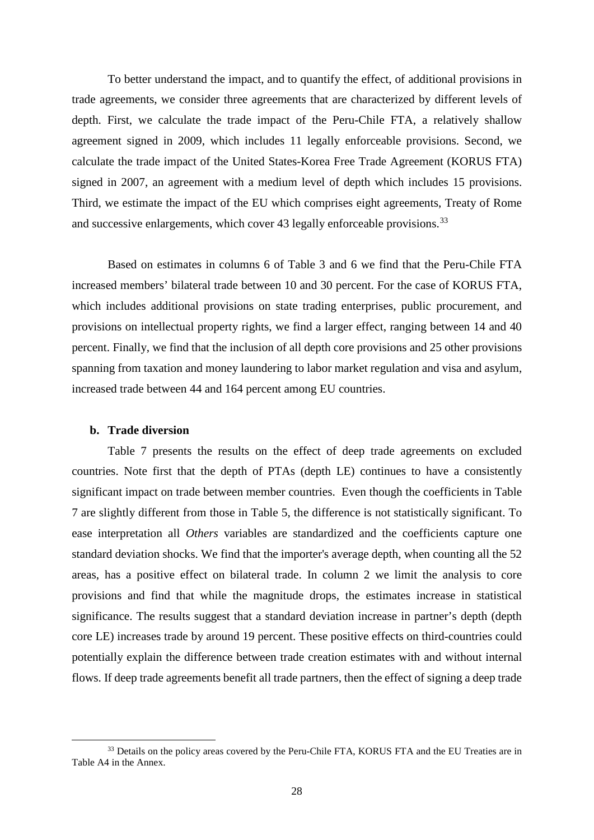To better understand the impact, and to quantify the effect, of additional provisions in trade agreements, we consider three agreements that are characterized by different levels of depth. First, we calculate the trade impact of the Peru-Chile FTA, a relatively shallow agreement signed in 2009, which includes 11 legally enforceable provisions. Second, we calculate the trade impact of the United States-Korea Free Trade Agreement (KORUS FTA) signed in 2007, an agreement with a medium level of depth which includes 15 provisions. Third, we estimate the impact of the EU which comprises eight agreements, Treaty of Rome and successive enlargements, which cover 43 legally enforceable provisions.<sup>[33](#page-27-0)</sup>

Based on estimates in columns 6 of Table 3 and 6 we find that the Peru-Chile FTA increased members' bilateral trade between 10 and 30 percent. For the case of KORUS FTA, which includes additional provisions on state trading enterprises, public procurement, and provisions on intellectual property rights, we find a larger effect, ranging between 14 and 40 percent. Finally, we find that the inclusion of all depth core provisions and 25 other provisions spanning from taxation and money laundering to labor market regulation and visa and asylum, increased trade between 44 and 164 percent among EU countries.

## **b. Trade diversion**

Table 7 presents the results on the effect of deep trade agreements on excluded countries. Note first that the depth of PTAs (depth LE) continues to have a consistently significant impact on trade between member countries. Even though the coefficients in Table 7 are slightly different from those in Table 5, the difference is not statistically significant. To ease interpretation all *Others* variables are standardized and the coefficients capture one standard deviation shocks. We find that the importer's average depth, when counting all the 52 areas, has a positive effect on bilateral trade. In column 2 we limit the analysis to core provisions and find that while the magnitude drops, the estimates increase in statistical significance. The results suggest that a standard deviation increase in partner's depth (depth core LE) increases trade by around 19 percent. These positive effects on third-countries could potentially explain the difference between trade creation estimates with and without internal flows. If deep trade agreements benefit all trade partners, then the effect of signing a deep trade

<span id="page-27-0"></span><sup>&</sup>lt;sup>33</sup> Details on the policy areas covered by the Peru-Chile FTA, KORUS FTA and the EU Treaties are in Table A4 in the Annex.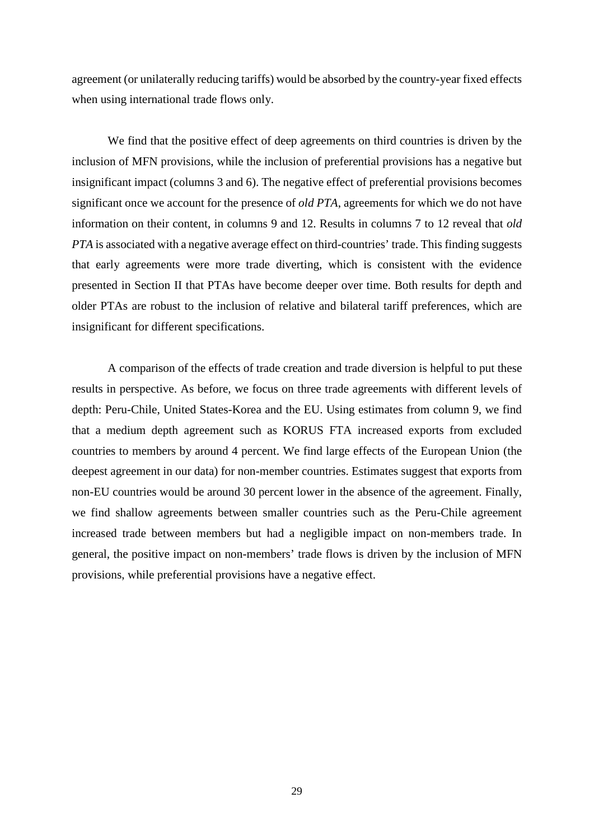agreement (or unilaterally reducing tariffs) would be absorbed by the country-year fixed effects when using international trade flows only.

We find that the positive effect of deep agreements on third countries is driven by the inclusion of MFN provisions, while the inclusion of preferential provisions has a negative but insignificant impact (columns 3 and 6). The negative effect of preferential provisions becomes significant once we account for the presence of *old PTA*, agreements for which we do not have information on their content, in columns 9 and 12. Results in columns 7 to 12 reveal that *old PTA* is associated with a negative average effect on third-countries' trade. This finding suggests that early agreements were more trade diverting, which is consistent with the evidence presented in Section II that PTAs have become deeper over time. Both results for depth and older PTAs are robust to the inclusion of relative and bilateral tariff preferences, which are insignificant for different specifications.

A comparison of the effects of trade creation and trade diversion is helpful to put these results in perspective. As before, we focus on three trade agreements with different levels of depth: Peru-Chile, United States-Korea and the EU. Using estimates from column 9, we find that a medium depth agreement such as KORUS FTA increased exports from excluded countries to members by around 4 percent. We find large effects of the European Union (the deepest agreement in our data) for non-member countries. Estimates suggest that exports from non-EU countries would be around 30 percent lower in the absence of the agreement. Finally, we find shallow agreements between smaller countries such as the Peru-Chile agreement increased trade between members but had a negligible impact on non-members trade. In general, the positive impact on non-members' trade flows is driven by the inclusion of MFN provisions, while preferential provisions have a negative effect.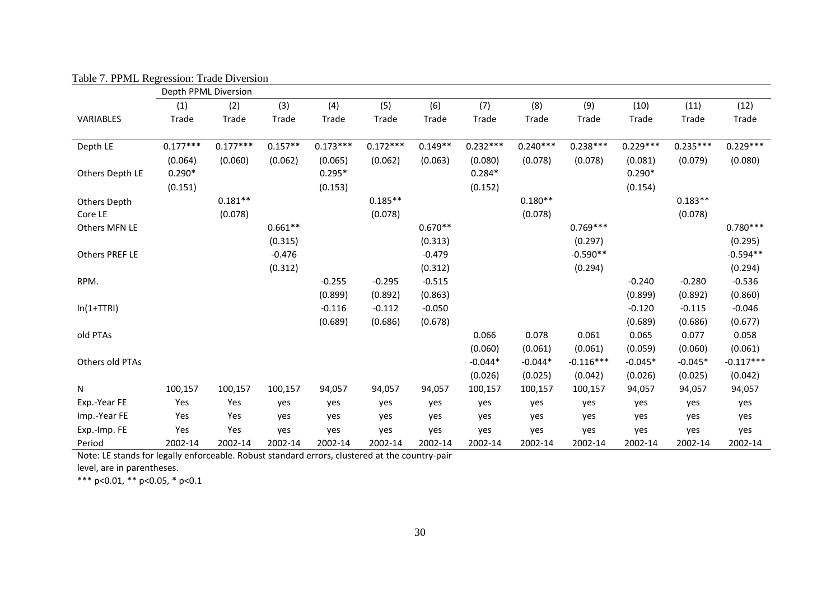|                     | Depth PPML Diversion |            |           |            |            |           |            |            |             |            |            |             |
|---------------------|----------------------|------------|-----------|------------|------------|-----------|------------|------------|-------------|------------|------------|-------------|
|                     | (1)                  | (2)        | (3)       | (4)        | (5)        | (6)       | (7)        | (8)        | (9)         | (10)       | (11)       | (12)        |
| VARIABLES           | Trade                | Trade      | Trade     | Trade      | Trade      | Trade     | Trade      | Trade      | Trade       | Trade      | Trade      | Trade       |
| Depth LE            | $0.177***$           | $0.177***$ | $0.157**$ | $0.173***$ | $0.172***$ | $0.149**$ | $0.232***$ | $0.240***$ | $0.238***$  | $0.229***$ | $0.235***$ | $0.229***$  |
|                     | (0.064)              | (0.060)    | (0.062)   | (0.065)    | (0.062)    | (0.063)   | (0.080)    | (0.078)    | (0.078)     | (0.081)    | (0.079)    | (0.080)     |
| Others Depth LE     | $0.290*$             |            |           | $0.295*$   |            |           | $0.284*$   |            |             | $0.290*$   |            |             |
|                     | (0.151)              |            |           | (0.153)    |            |           | (0.152)    |            |             | (0.154)    |            |             |
| <b>Others Depth</b> |                      | $0.181**$  |           |            | $0.185**$  |           |            | $0.180**$  |             |            | $0.183**$  |             |
| Core LE             |                      | (0.078)    |           |            | (0.078)    |           |            | (0.078)    |             |            | (0.078)    |             |
| Others MFN LE       |                      |            | $0.661**$ |            |            | $0.670**$ |            |            | $0.769***$  |            |            | $0.780***$  |
|                     |                      |            | (0.315)   |            |            | (0.313)   |            |            | (0.297)     |            |            | (0.295)     |
| Others PREF LE      |                      |            | $-0.476$  |            |            | $-0.479$  |            |            | $-0.590**$  |            |            | $-0.594**$  |
|                     |                      |            | (0.312)   |            |            | (0.312)   |            |            | (0.294)     |            |            | (0.294)     |
| RPM.                |                      |            |           | $-0.255$   | $-0.295$   | $-0.515$  |            |            |             | $-0.240$   | $-0.280$   | $-0.536$    |
|                     |                      |            |           | (0.899)    | (0.892)    | (0.863)   |            |            |             | (0.899)    | (0.892)    | (0.860)     |
| $ln(1+TTRI)$        |                      |            |           | $-0.116$   | $-0.112$   | $-0.050$  |            |            |             | $-0.120$   | $-0.115$   | $-0.046$    |
|                     |                      |            |           | (0.689)    | (0.686)    | (0.678)   |            |            |             | (0.689)    | (0.686)    | (0.677)     |
| old PTAs            |                      |            |           |            |            |           | 0.066      | 0.078      | 0.061       | 0.065      | 0.077      | 0.058       |
|                     |                      |            |           |            |            |           | (0.060)    | (0.061)    | (0.061)     | (0.059)    | (0.060)    | (0.061)     |
| Others old PTAs     |                      |            |           |            |            |           | $-0.044*$  | $-0.044*$  | $-0.116***$ | $-0.045*$  | $-0.045*$  | $-0.117***$ |
|                     |                      |            |           |            |            |           | (0.026)    | (0.025)    | (0.042)     | (0.026)    | (0.025)    | (0.042)     |
| N                   | 100,157              | 100,157    | 100,157   | 94,057     | 94,057     | 94,057    | 100,157    | 100,157    | 100,157     | 94,057     | 94,057     | 94,057      |
| Exp.-Year FE        | Yes                  | Yes        | yes       | yes        | yes        | yes       | yes        | yes        | yes         | yes        | yes        | yes         |
| Imp.-Year FE        | Yes                  | Yes        | yes       | yes        | yes        | yes       | yes        | yes        | yes         | yes        | yes        | yes         |
| Exp.-Imp. FE        | Yes                  | Yes        | yes       | yes        | yes        | yes       | yes        | yes        | yes         | yes        | yes        | yes         |
| Period              | 2002-14              | 2002-14    | 2002-14   | 2002-14    | 2002-14    | 2002-14   | 2002-14    | 2002-14    | 2002-14     | 2002-14    | 2002-14    | 2002-14     |

Table 7. PPML Regression: Trade Diversion

Note: LE stands for legally enforceable. Robust standard errors, clustered at the country-pair

level, are in parentheses.

\*\*\* p<0.01, \*\* p<0.05, \* p<0.1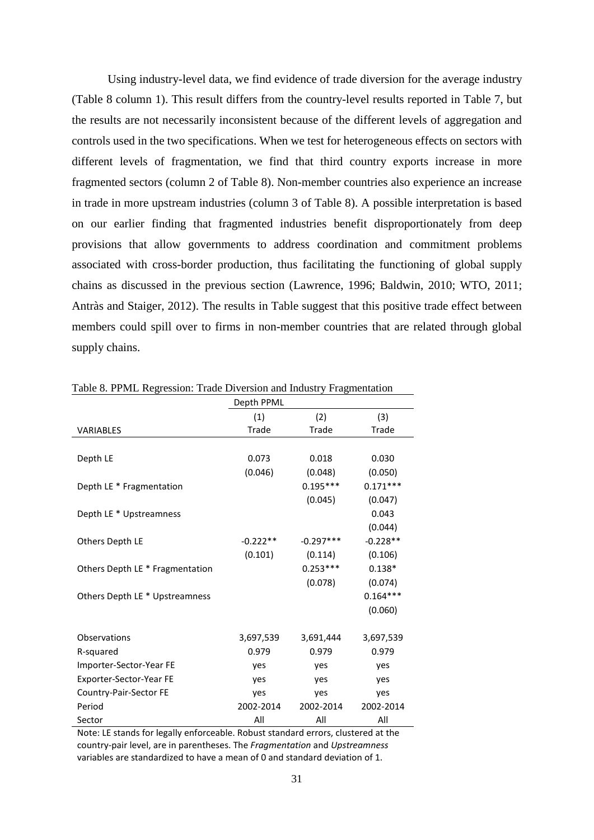Using industry-level data, we find evidence of trade diversion for the average industry (Table 8 column 1). This result differs from the country-level results reported in Table 7, but the results are not necessarily inconsistent because of the different levels of aggregation and controls used in the two specifications. When we test for heterogeneous effects on sectors with different levels of fragmentation, we find that third country exports increase in more fragmented sectors (column 2 of Table 8). Non-member countries also experience an increase in trade in more upstream industries (column 3 of Table 8). A possible interpretation is based on our earlier finding that fragmented industries benefit disproportionately from deep provisions that allow governments to address coordination and commitment problems associated with cross-border production, thus facilitating the functioning of global supply chains as discussed in the previous section (Lawrence, 1996; Baldwin, 2010; WTO, 2011; Antràs and Staiger, 2012). The results in Table suggest that this positive trade effect between members could spill over to firms in non-member countries that are related through global supply chains.

|                                 | Depth PPML |             |            |
|---------------------------------|------------|-------------|------------|
|                                 | (1)        | (2)         | (3)        |
| <b>VARIABLES</b>                | Trade      | Trade       | Trade      |
|                                 |            |             |            |
| Depth LE                        | 0.073      | 0.018       | 0.030      |
|                                 | (0.046)    | (0.048)     | (0.050)    |
| Depth LE * Fragmentation        |            | $0.195***$  | $0.171***$ |
|                                 |            | (0.045)     | (0.047)    |
| Depth LE * Upstreamness         |            |             | 0.043      |
|                                 |            |             | (0.044)    |
| Others Depth LE                 | $-0.222**$ | $-0.297***$ | $-0.228**$ |
|                                 | (0.101)    | (0.114)     | (0.106)    |
| Others Depth LE * Fragmentation |            | $0.253***$  | $0.138*$   |
|                                 |            | (0.078)     | (0.074)    |
| Others Depth LE * Upstreamness  |            |             | $0.164***$ |
|                                 |            |             | (0.060)    |
|                                 |            |             |            |
| Observations                    | 3,697,539  | 3,691,444   | 3,697,539  |
| R-squared                       | 0.979      | 0.979       | 0.979      |
| Importer-Sector-Year FE         | yes        | yes         | yes        |
| Exporter-Sector-Year FE         | yes        | yes         | yes        |
| Country-Pair-Sector FE          | yes        | yes         | yes        |
| Period                          | 2002-2014  | 2002-2014   | 2002-2014  |
| Sector                          | All        | All         | All        |

Table 8. PPML Regression: Trade Diversion and Industry Fragmentation

Note: LE stands for legally enforceable. Robust standard errors, clustered at the country-pair level, are in parentheses. The *Fragmentation* and *Upstreamness* variables are standardized to have a mean of 0 and standard deviation of 1.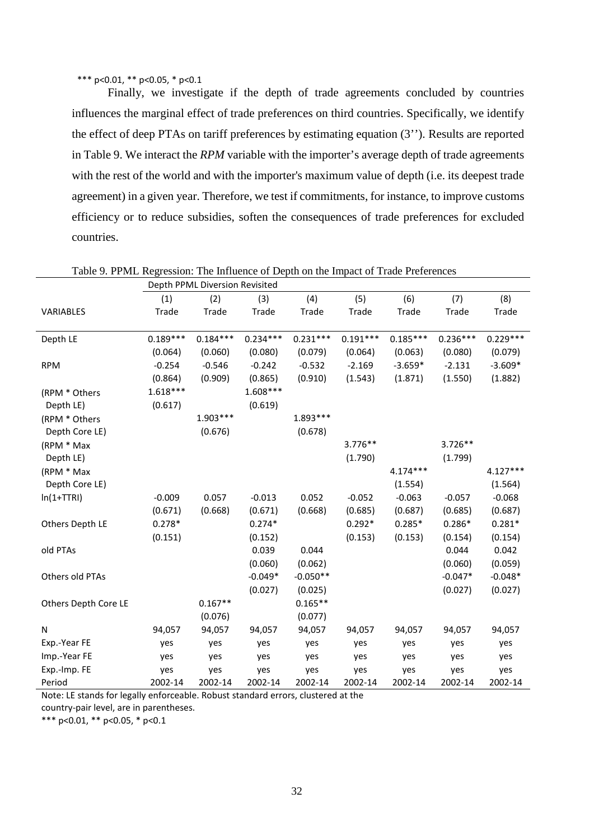#### \*\*\* p<0.01, \*\* p<0.05, \* p<0.1

Finally, we investigate if the depth of trade agreements concluded by countries influences the marginal effect of trade preferences on third countries. Specifically, we identify the effect of deep PTAs on tariff preferences by estimating equation (3''). Results are reported in Table 9. We interact the *RPM* variable with the importer's average depth of trade agreements with the rest of the world and with the importer's maximum value of depth (i.e. its deepest trade agreement) in a given year. Therefore, we test if commitments, for instance, to improve customs efficiency or to reduce subsidies, soften the consequences of trade preferences for excluded countries.

|                      |            | Depth PPML Diversion Revisited |            |            |            |            |            |            |
|----------------------|------------|--------------------------------|------------|------------|------------|------------|------------|------------|
|                      | (1)        | (2)                            | (3)        | (4)        | (5)        | (6)        | (7)        | (8)        |
| VARIABLES            | Trade      | Trade                          | Trade      | Trade      | Trade      | Trade      | Trade      | Trade      |
|                      |            |                                |            |            |            |            |            |            |
| Depth LE             | $0.189***$ | $0.184***$                     | $0.234***$ | $0.231***$ | $0.191***$ | $0.185***$ | $0.236***$ | $0.229***$ |
|                      | (0.064)    | (0.060)                        | (0.080)    | (0.079)    | (0.064)    | (0.063)    | (0.080)    | (0.079)    |
| <b>RPM</b>           | $-0.254$   | $-0.546$                       | $-0.242$   | $-0.532$   | $-2.169$   | $-3.659*$  | $-2.131$   | $-3.609*$  |
|                      | (0.864)    | (0.909)                        | (0.865)    | (0.910)    | (1.543)    | (1.871)    | (1.550)    | (1.882)    |
| (RPM * Others        | $1.618***$ |                                | $1.608***$ |            |            |            |            |            |
| Depth LE)            | (0.617)    |                                | (0.619)    |            |            |            |            |            |
| (RPM * Others        |            | $1.903***$                     |            | $1.893***$ |            |            |            |            |
| Depth Core LE)       |            | (0.676)                        |            | (0.678)    |            |            |            |            |
| (RPM * Max           |            |                                |            |            | $3.776**$  |            | $3.726**$  |            |
| Depth LE)            |            |                                |            |            | (1.790)    |            | (1.799)    |            |
| (RPM * Max           |            |                                |            |            |            | $4.174***$ |            | 4.127***   |
| Depth Core LE)       |            |                                |            |            |            | (1.554)    |            | (1.564)    |
| $ln(1+TTRI)$         | $-0.009$   | 0.057                          | $-0.013$   | 0.052      | $-0.052$   | $-0.063$   | $-0.057$   | $-0.068$   |
|                      | (0.671)    | (0.668)                        | (0.671)    | (0.668)    | (0.685)    | (0.687)    | (0.685)    | (0.687)    |
| Others Depth LE      | $0.278*$   |                                | $0.274*$   |            | $0.292*$   | $0.285*$   | $0.286*$   | $0.281*$   |
|                      | (0.151)    |                                | (0.152)    |            | (0.153)    | (0.153)    | (0.154)    | (0.154)    |
| old PTAs             |            |                                | 0.039      | 0.044      |            |            | 0.044      | 0.042      |
|                      |            |                                | (0.060)    | (0.062)    |            |            | (0.060)    | (0.059)    |
| Others old PTAs      |            |                                | $-0.049*$  | $-0.050**$ |            |            | $-0.047*$  | $-0.048*$  |
|                      |            |                                | (0.027)    | (0.025)    |            |            | (0.027)    | (0.027)    |
| Others Depth Core LE |            | $0.167**$                      |            | $0.165**$  |            |            |            |            |
|                      |            | (0.076)                        |            | (0.077)    |            |            |            |            |
| N                    | 94,057     | 94,057                         | 94,057     | 94,057     | 94,057     | 94,057     | 94,057     | 94,057     |
| Exp.-Year FE         | yes        | yes                            | yes        | yes        | yes        | yes        | yes        | yes        |
| Imp.-Year FE         | yes        | yes                            | yes        | yes        | yes        | yes        | yes        | yes        |
| Exp.-Imp. FE         | yes        | yes                            | yes        | yes        | yes        | yes        | yes        | yes        |
| Period               | 2002-14    | 2002-14                        | 2002-14    | 2002-14    | 2002-14    | 2002-14    | 2002-14    | 2002-14    |

Table 9. PPML Regression: The Influence of Depth on the Impact of Trade Preferences

Note: LE stands for legally enforceable. Robust standard errors, clustered at the country-pair level, are in parentheses.

\*\*\* p<0.01, \*\* p<0.05, \* p<0.1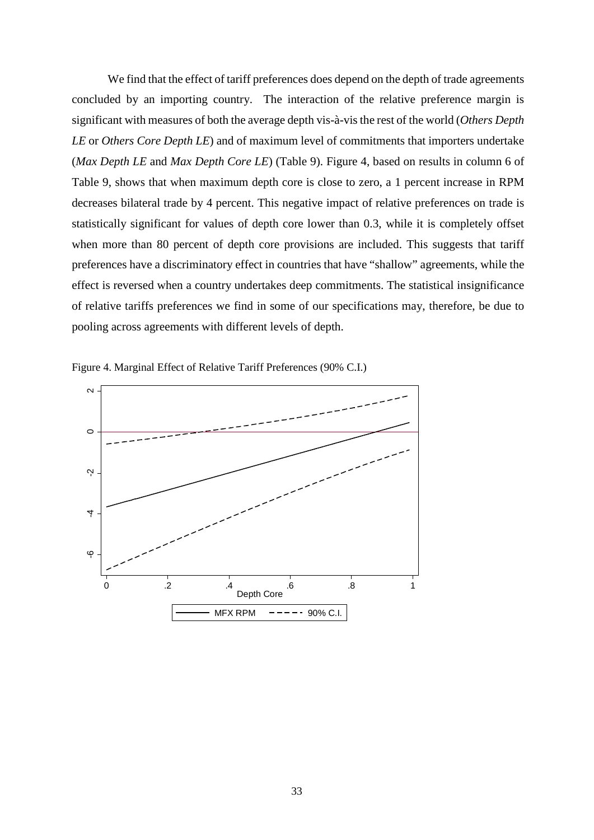We find that the effect of tariff preferences does depend on the depth of trade agreements concluded by an importing country. The interaction of the relative preference margin is significant with measures of both the average depth vis-à-vis the rest of the world (*Others Depth LE* or *Others Core Depth LE*) and of maximum level of commitments that importers undertake (*Max Depth LE* and *Max Depth Core LE*) (Table 9). Figure 4, based on results in column 6 of Table 9, shows that when maximum depth core is close to zero, a 1 percent increase in RPM decreases bilateral trade by 4 percent. This negative impact of relative preferences on trade is statistically significant for values of depth core lower than 0.3, while it is completely offset when more than 80 percent of depth core provisions are included. This suggests that tariff preferences have a discriminatory effect in countries that have "shallow" agreements, while the effect is reversed when a country undertakes deep commitments. The statistical insignificance of relative tariffs preferences we find in some of our specifications may, therefore, be due to pooling across agreements with different levels of depth.



Figure 4. Marginal Effect of Relative Tariff Preferences (90% C.I.)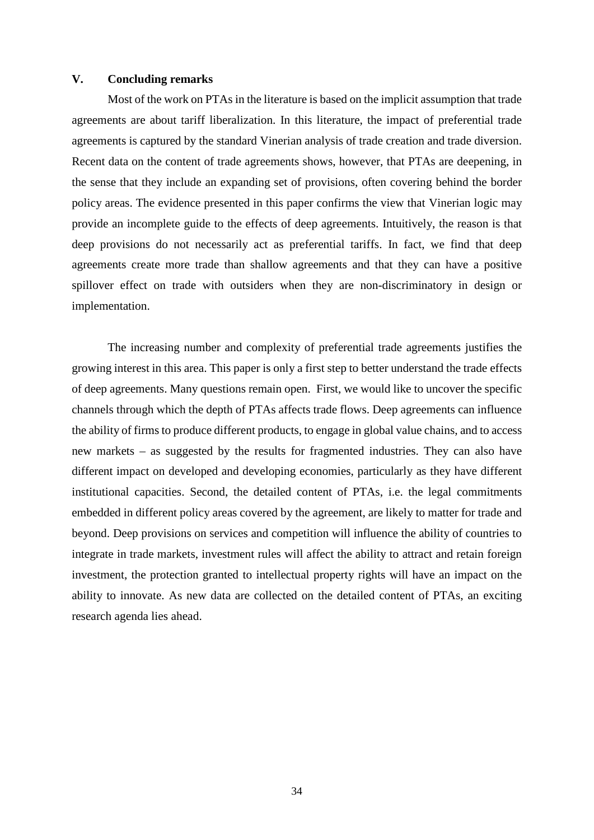## **V. Concluding remarks**

Most of the work on PTAs in the literature is based on the implicit assumption that trade agreements are about tariff liberalization. In this literature, the impact of preferential trade agreements is captured by the standard Vinerian analysis of trade creation and trade diversion. Recent data on the content of trade agreements shows, however, that PTAs are deepening, in the sense that they include an expanding set of provisions, often covering behind the border policy areas. The evidence presented in this paper confirms the view that Vinerian logic may provide an incomplete guide to the effects of deep agreements. Intuitively, the reason is that deep provisions do not necessarily act as preferential tariffs. In fact, we find that deep agreements create more trade than shallow agreements and that they can have a positive spillover effect on trade with outsiders when they are non-discriminatory in design or implementation.

The increasing number and complexity of preferential trade agreements justifies the growing interest in this area. This paper is only a first step to better understand the trade effects of deep agreements. Many questions remain open. First, we would like to uncover the specific channels through which the depth of PTAs affects trade flows. Deep agreements can influence the ability of firms to produce different products, to engage in global value chains, and to access new markets – as suggested by the results for fragmented industries. They can also have different impact on developed and developing economies, particularly as they have different institutional capacities. Second, the detailed content of PTAs, i.e. the legal commitments embedded in different policy areas covered by the agreement, are likely to matter for trade and beyond. Deep provisions on services and competition will influence the ability of countries to integrate in trade markets, investment rules will affect the ability to attract and retain foreign investment, the protection granted to intellectual property rights will have an impact on the ability to innovate. As new data are collected on the detailed content of PTAs, an exciting research agenda lies ahead.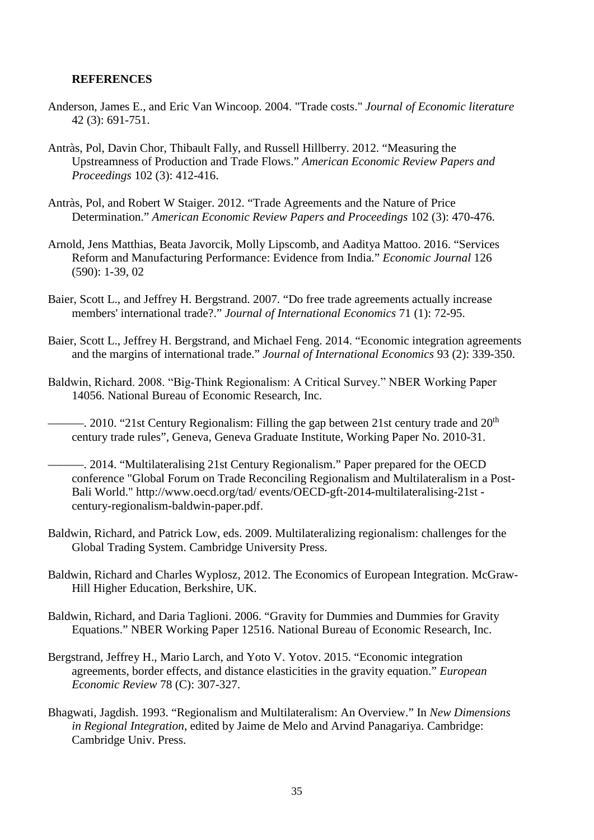# **REFERENCES**

- Anderson, James E., and Eric Van Wincoop. 2004. "Trade costs." *Journal of Economic literature* 42 (3): 691-751.
- Antràs, Pol, Davin Chor, Thibault Fally, and Russell Hillberry. 2012. "Measuring the Upstreamness of Production and Trade Flows." *American Economic Review Papers and Proceedings* 102 (3): 412-416.
- Antràs, Pol, and Robert W Staiger. 2012. "Trade Agreements and the Nature of Price Determination." *American Economic Review Papers and Proceedings* 102 (3): 470-476.
- Arnold, Jens Matthias, Beata Javorcik, Molly Lipscomb, and Aaditya Mattoo. 2016. "Services Reform and Manufacturing Performance: Evidence from India." *Economic Journal* 126 (590): 1-39, 02
- Baier, Scott L., and Jeffrey H. Bergstrand. 2007. "Do free trade agreements actually increase members' international trade?." *Journal of International Economics* 71 (1): 72-95.
- Baier, Scott L., Jeffrey H. Bergstrand, and Michael Feng. 2014. "Economic integration agreements and the margins of international trade." *Journal of International Economics* 93 (2): 339-350.
- Baldwin, Richard. 2008. "Big‐Think Regionalism: A Critical Survey." NBER Working Paper 14056. National Bureau of Economic Research, Inc.
- $-$ . 2010. "21st Century Regionalism: Filling the gap between 21st century trade and  $20<sup>th</sup>$ century trade rules", Geneva, Geneva Graduate Institute, Working Paper No. 2010-31.
- ———. 2014. "Multilateralising 21st Century Regionalism." Paper prepared for the OECD conference "Global Forum on Trade Reconciling Regionalism and Multilateralism in a Post-Bali World." http://www.oecd.org/tad/ events/OECD-gft-2014-multilateralising-21st century-regionalism-baldwin-paper.pdf.
- Baldwin, Richard, and Patrick Low, eds. 2009. Multilateralizing regionalism: challenges for the Global Trading System. Cambridge University Press.
- Baldwin, Richard and Charles Wyplosz, 2012. The Economics of European Integration. McGraw-Hill Higher Education, Berkshire, UK.
- Baldwin, Richard, and Daria Taglioni. 2006. "Gravity for Dummies and Dummies for Gravity Equations." NBER Working Paper 12516. National Bureau of Economic Research, Inc.
- Bergstrand, Jeffrey H., Mario Larch, and Yoto V. Yotov. 2015. "Economic integration agreements, border effects, and distance elasticities in the gravity equation." *European Economic Review* 78 (C): 307-327.
- Bhagwati, Jagdish. 1993. "Regionalism and Multilateralism: An Overview." In *New Dimensions in Regional Integration*, edited by Jaime de Melo and Arvind Panagariya. Cambridge: Cambridge Univ. Press.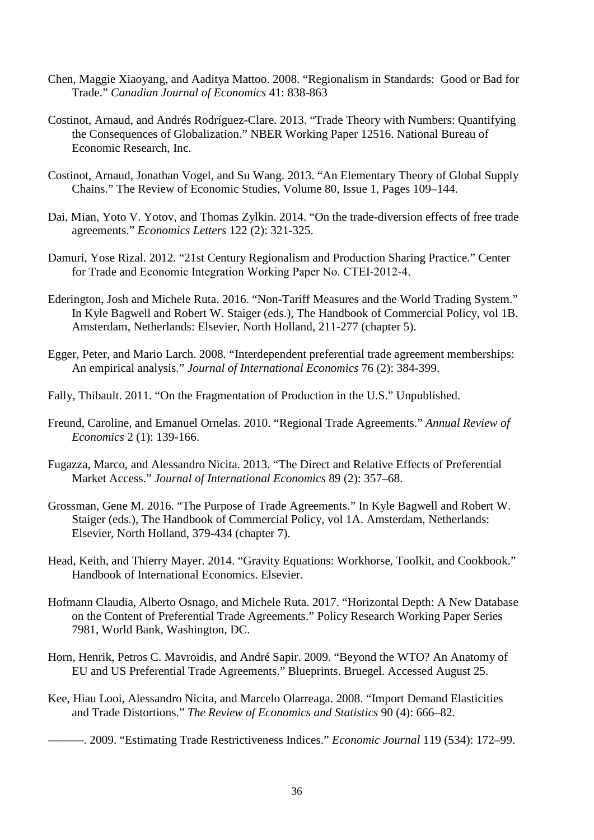- Chen, Maggie Xiaoyang, and Aaditya Mattoo. 2008. "Regionalism in Standards: Good or Bad for Trade." *Canadian Journal of Economics* 41: 838-863
- Costinot, Arnaud, and Andrés Rodríguez-Clare. 2013. "Trade Theory with Numbers: Quantifying the Consequences of Globalization." NBER Working Paper 12516. National Bureau of Economic Research, Inc.
- Costinot, Arnaud, Jonathan Vogel, and Su Wang. 2013. "An Elementary Theory of Global Supply Chains." The Review of Economic Studies, Volume 80, Issue 1, Pages 109–144.
- Dai, Mian, Yoto V. Yotov, and Thomas Zylkin. 2014. "On the trade-diversion effects of free trade agreements." *Economics Letters* 122 (2): 321-325.
- Damuri, Yose Rizal. 2012. "21st Century Regionalism and Production Sharing Practice." Center for Trade and Economic Integration Working Paper No. CTEI‐2012‐4.
- Ederington, Josh and Michele Ruta. 2016. "Non-Tariff Measures and the World Trading System." In Kyle Bagwell and Robert W. Staiger (eds.), The Handbook of Commercial Policy, vol 1B. Amsterdam, Netherlands: Elsevier, North Holland, 211-277 (chapter 5).
- Egger, Peter, and Mario Larch. 2008. "Interdependent preferential trade agreement memberships: An empirical analysis." *Journal of International Economics* 76 (2): 384-399.
- Fally, Thibault. 2011. "On the Fragmentation of Production in the U.S." Unpublished.
- Freund, Caroline, and Emanuel Ornelas. 2010. "Regional Trade Agreements." *Annual Review of Economics* 2 (1): 139-166.
- Fugazza, Marco, and Alessandro Nicita. 2013. "The Direct and Relative Effects of Preferential Market Access." *Journal of International Economics* 89 (2): 357–68.
- Grossman, Gene M. 2016. "The Purpose of Trade Agreements." In Kyle Bagwell and Robert W. Staiger (eds.), The Handbook of Commercial Policy, vol 1A. Amsterdam, Netherlands: Elsevier, North Holland, 379-434 (chapter 7).
- Head, Keith, and Thierry Mayer. 2014. "Gravity Equations: Workhorse, Toolkit, and Cookbook." Handbook of International Economics. Elsevier.
- Hofmann Claudia, Alberto Osnago, and Michele Ruta. 2017. "Horizontal Depth: A New Database on the Content of Preferential Trade Agreements." Policy Research Working Paper Series 7981, World Bank, Washington, DC.
- Horn, Henrik, Petros C. Mavroidis, and André Sapir. 2009. "Beyond the WTO? An Anatomy of EU and US Preferential Trade Agreements." Blueprints. Bruegel. Accessed August 25.
- Kee, Hiau Looi, Alessandro Nicita, and Marcelo Olarreaga. 2008. "Import Demand Elasticities and Trade Distortions." *The Review of Economics and Statistics* 90 (4): 666–82.
	- ———. 2009. "Estimating Trade Restrictiveness Indices." *Economic Journal* 119 (534): 172–99.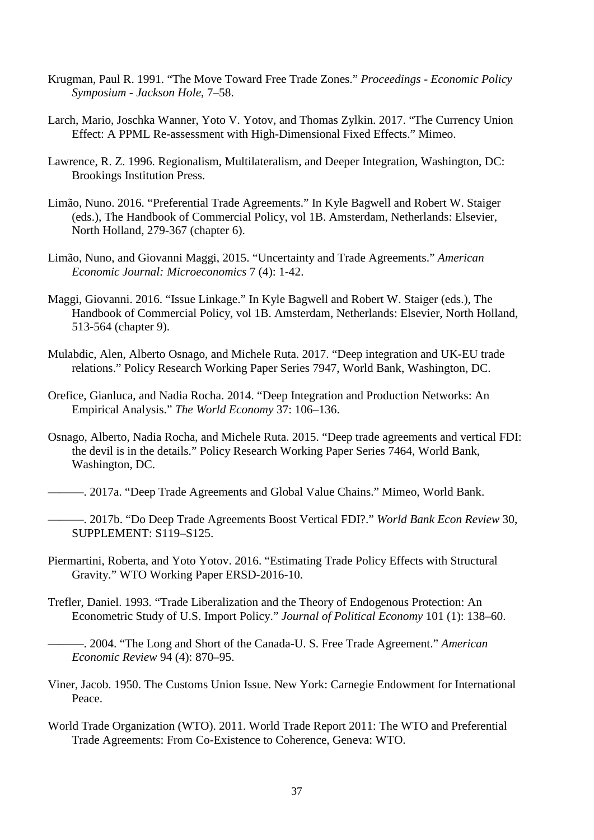- Krugman, Paul R. 1991. "The Move Toward Free Trade Zones." *Proceedings - Economic Policy Symposium - Jackson Hole*, 7–58.
- Larch, Mario, Joschka Wanner, Yoto V. Yotov, and Thomas Zylkin. 2017. "The Currency Union Effect: A PPML Re-assessment with High-Dimensional Fixed Effects." Mimeo.
- Lawrence, R. Z. 1996. Regionalism, Multilateralism, and Deeper Integration, Washington, DC: Brookings Institution Press.
- Limão, Nuno. 2016. "Preferential Trade Agreements." In Kyle Bagwell and Robert W. Staiger (eds.), The Handbook of Commercial Policy, vol 1B. Amsterdam, Netherlands: Elsevier, North Holland, 279-367 (chapter 6).
- Limão, Nuno, and Giovanni Maggi, 2015. "Uncertainty and Trade Agreements." *American Economic Journal: Microeconomics* 7 (4): 1-42.
- Maggi, Giovanni. 2016. "Issue Linkage." In Kyle Bagwell and Robert W. Staiger (eds.), The Handbook of Commercial Policy, vol 1B. Amsterdam, Netherlands: Elsevier, North Holland, 513-564 (chapter 9).
- Mulabdic, Alen, Alberto Osnago, and Michele Ruta. 2017. "Deep integration and UK-EU trade relations." Policy Research Working Paper Series 7947, World Bank, Washington, DC.
- Orefice, Gianluca, and Nadia Rocha. 2014. "Deep Integration and Production Networks: An Empirical Analysis." *The World Economy* 37: 106–136.
- Osnago, Alberto, Nadia Rocha, and Michele Ruta. 2015. "Deep trade agreements and vertical FDI: the devil is in the details." Policy Research Working Paper Series 7464, World Bank, Washington, DC.
- ———. 2017a. "Deep Trade Agreements and Global Value Chains." Mimeo, World Bank.
	- ———. 2017b. "Do Deep Trade Agreements Boost Vertical FDI?." *World Bank Econ Review* 30, SUPPLEMENT: S119–S125.
- Piermartini, Roberta, and Yoto Yotov. 2016. "Estimating Trade Policy Effects with Structural Gravity." WTO Working Paper ERSD-2016-10.
- Trefler, Daniel. 1993. "Trade Liberalization and the Theory of Endogenous Protection: An Econometric Study of U.S. Import Policy." *Journal of Political Economy* 101 (1): 138–60.
	- ———. 2004. "The Long and Short of the Canada-U. S. Free Trade Agreement." *American Economic Review* 94 (4): 870–95.
- Viner, Jacob. 1950. The Customs Union Issue. New York: Carnegie Endowment for International Peace.
- World Trade Organization (WTO). 2011. World Trade Report 2011: The WTO and Preferential Trade Agreements: From Co-Existence to Coherence, Geneva: WTO.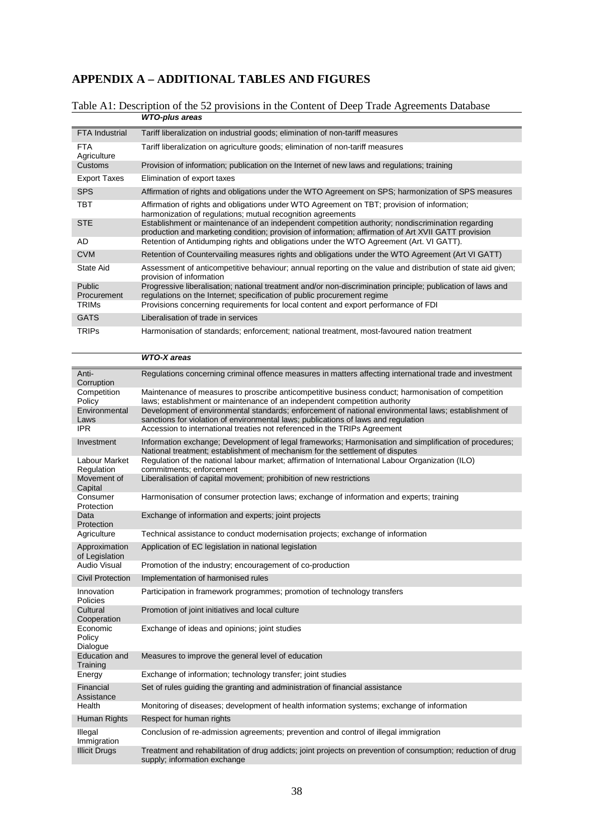# **APPENDIX A – ADDITIONAL TABLES AND FIGURES**

#### Table A1: Description of the 52 provisions in the Content of Deep Trade Agreements Database *WTO-plus areas*

| <b>FTA Industrial</b>        | Tariff liberalization on industrial goods; elimination of non-tariff measures                                                                                                                             |
|------------------------------|-----------------------------------------------------------------------------------------------------------------------------------------------------------------------------------------------------------|
| FTA.<br>Agriculture          | Tariff liberalization on agriculture goods; elimination of non-tariff measures                                                                                                                            |
| Customs                      | Provision of information; publication on the Internet of new laws and regulations; training                                                                                                               |
| <b>Export Taxes</b>          | Elimination of export taxes                                                                                                                                                                               |
| <b>SPS</b>                   | Affirmation of rights and obligations under the WTO Agreement on SPS; harmonization of SPS measures                                                                                                       |
| твт                          | Affirmation of rights and obligations under WTO Agreement on TBT; provision of information;<br>harmonization of regulations; mutual recognition agreements                                                |
| <b>STE</b>                   | Establishment or maintenance of an independent competition authority; nondiscrimination regarding<br>production and marketing condition; provision of information; affirmation of Art XVII GATT provision |
| AD                           | Retention of Antidumping rights and obligations under the WTO Agreement (Art. VI GATT).                                                                                                                   |
| <b>CVM</b>                   | Retention of Countervailing measures rights and obligations under the WTO Agreement (Art VI GATT)                                                                                                         |
| State Aid                    | Assessment of anticompetitive behaviour; annual reporting on the value and distribution of state aid given;<br>provision of information                                                                   |
| <b>Public</b><br>Procurement | Progressive liberalisation; national treatment and/or non-discrimination principle; publication of laws and<br>requiations on the Internet; specification of public procurement regime                    |
| TRIMs                        | Provisions concerning requirements for local content and export performance of FDI                                                                                                                        |
| <b>GATS</b>                  | Liberalisation of trade in services                                                                                                                                                                       |
| <b>TRIPs</b>                 | Harmonisation of standards; enforcement; national treatment, most-favoured nation treatment                                                                                                               |

|                                  | <b>WTO-X</b> areas                                                                                                                                                                         |
|----------------------------------|--------------------------------------------------------------------------------------------------------------------------------------------------------------------------------------------|
| Anti-<br>Corruption              | Regulations concerning criminal offence measures in matters affecting international trade and investment                                                                                   |
| Competition<br>Policy            | Maintenance of measures to proscribe anticompetitive business conduct; harmonisation of competition<br>laws; establishment or maintenance of an independent competition authority          |
| Environmental<br>Laws            | Development of environmental standards; enforcement of national environmental laws; establishment of<br>sanctions for violation of environmental laws; publications of laws and regulation |
| <b>IPR</b>                       | Accession to international treaties not referenced in the TRIPs Agreement                                                                                                                  |
| Investment                       | Information exchange; Development of legal frameworks; Harmonisation and simplification of procedures;<br>National treatment; establishment of mechanism for the settlement of disputes    |
| Labour Market<br>Regulation      | Regulation of the national labour market; affirmation of International Labour Organization (ILO)<br>commitments; enforcement                                                               |
| Movement of<br>Capital           | Liberalisation of capital movement; prohibition of new restrictions                                                                                                                        |
| Consumer<br>Protection           | Harmonisation of consumer protection laws; exchange of information and experts; training                                                                                                   |
| Data<br>Protection               | Exchange of information and experts; joint projects                                                                                                                                        |
| Agriculture                      | Technical assistance to conduct modernisation projects; exchange of information                                                                                                            |
| Approximation<br>of Legislation  | Application of EC legislation in national legislation                                                                                                                                      |
| <b>Audio Visual</b>              | Promotion of the industry; encouragement of co-production                                                                                                                                  |
| <b>Civil Protection</b>          | Implementation of harmonised rules                                                                                                                                                         |
| Innovation<br>Policies           | Participation in framework programmes; promotion of technology transfers                                                                                                                   |
| Cultural<br>Cooperation          | Promotion of joint initiatives and local culture                                                                                                                                           |
| Economic<br>Policy<br>Dialogue   | Exchange of ideas and opinions; joint studies                                                                                                                                              |
| <b>Education and</b><br>Training | Measures to improve the general level of education                                                                                                                                         |
| Energy                           | Exchange of information; technology transfer; joint studies                                                                                                                                |
| Financial<br>Assistance          | Set of rules guiding the granting and administration of financial assistance                                                                                                               |
| Health                           | Monitoring of diseases; development of health information systems; exchange of information                                                                                                 |
| Human Rights                     | Respect for human rights                                                                                                                                                                   |
| Illegal<br>Immigration           | Conclusion of re-admission agreements; prevention and control of illegal immigration                                                                                                       |
| <b>Illicit Drugs</b>             | Treatment and rehabilitation of drug addicts; joint projects on prevention of consumption; reduction of drug<br>supply; information exchange                                               |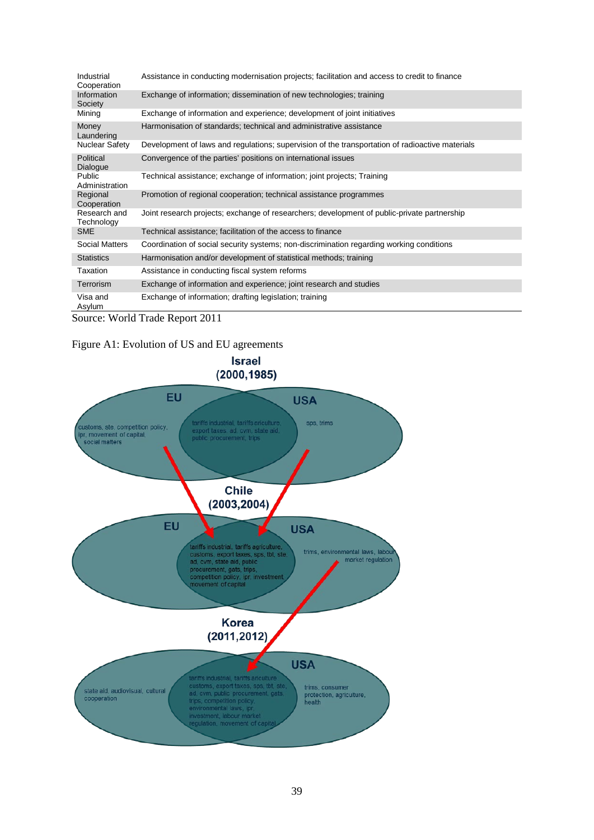| Industrial<br>Cooperation    | Assistance in conducting modernisation projects; facilitation and access to credit to finance   |
|------------------------------|-------------------------------------------------------------------------------------------------|
| Information<br>Society       | Exchange of information; dissemination of new technologies; training                            |
| Mining                       | Exchange of information and experience; development of joint initiatives                        |
| Money<br>Laundering          | Harmonisation of standards; technical and administrative assistance                             |
| Nuclear Safety               | Development of laws and regulations; supervision of the transportation of radioactive materials |
| Political<br><b>Dialogue</b> | Convergence of the parties' positions on international issues                                   |
| Public<br>Administration     | Technical assistance; exchange of information; joint projects; Training                         |
| Regional<br>Cooperation      | Promotion of regional cooperation; technical assistance programmes                              |
| Research and<br>Technology   | Joint research projects; exchange of researchers; development of public-private partnership     |
| <b>SME</b>                   | Technical assistance; facilitation of the access to finance                                     |
| <b>Social Matters</b>        | Coordination of social security systems; non-discrimination regarding working conditions        |
| <b>Statistics</b>            | Harmonisation and/or development of statistical methods; training                               |
| Taxation                     | Assistance in conducting fiscal system reforms                                                  |
| <b>Terrorism</b>             | Exchange of information and experience; joint research and studies                              |
| Visa and<br>Asylum           | Exchange of information; drafting legislation; training                                         |

Source: World Trade Report 2011

## Figure A1: Evolution of US and EU agreements

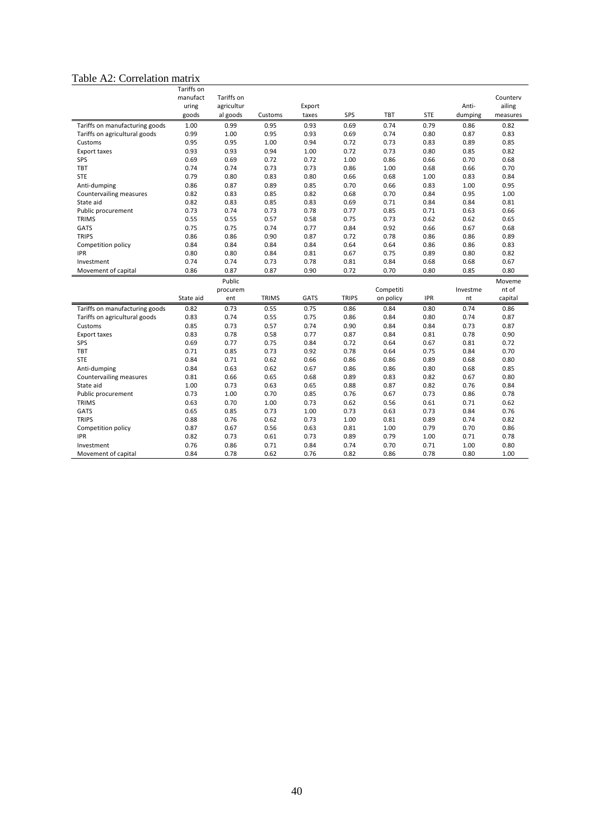# Table A2: Correlation matrix

|                                | Tariffs on |            |              |             |              |           |            |          |          |
|--------------------------------|------------|------------|--------------|-------------|--------------|-----------|------------|----------|----------|
|                                | manufact   | Tariffs on |              |             |              |           |            |          | Counterv |
|                                | uring      | agricultur |              | Export      |              |           |            | Anti-    | ailing   |
|                                | goods      | al goods   | Customs      | taxes       | SPS          | TBT       | <b>STE</b> | dumping  | measures |
| Tariffs on manufacturing goods | 1.00       | 0.99       | 0.95         | 0.93        | 0.69         | 0.74      | 0.79       | 0.86     | 0.82     |
| Tariffs on agricultural goods  | 0.99       | 1.00       | 0.95         | 0.93        | 0.69         | 0.74      | 0.80       | 0.87     | 0.83     |
| Customs                        | 0.95       | 0.95       | 1.00         | 0.94        | 0.72         | 0.73      | 0.83       | 0.89     | 0.85     |
| <b>Export taxes</b>            | 0.93       | 0.93       | 0.94         | 1.00        | 0.72         | 0.73      | 0.80       | 0.85     | 0.82     |
| SPS                            | 0.69       | 0.69       | 0.72         | 0.72        | 1.00         | 0.86      | 0.66       | 0.70     | 0.68     |
| <b>TBT</b>                     | 0.74       | 0.74       | 0.73         | 0.73        | 0.86         | 1.00      | 0.68       | 0.66     | 0.70     |
| <b>STE</b>                     | 0.79       | 0.80       | 0.83         | 0.80        | 0.66         | 0.68      | 1.00       | 0.83     | 0.84     |
| Anti-dumping                   | 0.86       | 0.87       | 0.89         | 0.85        | 0.70         | 0.66      | 0.83       | 1.00     | 0.95     |
| Countervailing measures        | 0.82       | 0.83       | 0.85         | 0.82        | 0.68         | 0.70      | 0.84       | 0.95     | 1.00     |
| State aid                      | 0.82       | 0.83       | 0.85         | 0.83        | 0.69         | 0.71      | 0.84       | 0.84     | 0.81     |
| Public procurement             | 0.73       | 0.74       | 0.73         | 0.78        | 0.77         | 0.85      | 0.71       | 0.63     | 0.66     |
| <b>TRIMS</b>                   | 0.55       | 0.55       | 0.57         | 0.58        | 0.75         | 0.73      | 0.62       | 0.62     | 0.65     |
| <b>GATS</b>                    | 0.75       | 0.75       | 0.74         | 0.77        | 0.84         | 0.92      | 0.66       | 0.67     | 0.68     |
| <b>TRIPS</b>                   | 0.86       | 0.86       | 0.90         | 0.87        | 0.72         | 0.78      | 0.86       | 0.86     | 0.89     |
| Competition policy             | 0.84       | 0.84       | 0.84         | 0.84        | 0.64         | 0.64      | 0.86       | 0.86     | 0.83     |
| <b>IPR</b>                     | 0.80       | 0.80       | 0.84         | 0.81        | 0.67         | 0.75      | 0.89       | 0.80     | 0.82     |
| Investment                     | 0.74       | 0.74       | 0.73         | 0.78        | 0.81         | 0.84      | 0.68       | 0.68     | 0.67     |
| Movement of capital            | 0.86       | 0.87       | 0.87         | 0.90        | 0.72         | 0.70      | 0.80       | 0.85     | 0.80     |
|                                |            | Public     |              |             |              |           |            |          | Moveme   |
|                                |            | procurem   |              |             |              | Competiti |            | Investme | nt of    |
|                                | State aid  | ent        | <b>TRIMS</b> | <b>GATS</b> | <b>TRIPS</b> | on policy | <b>IPR</b> | nt       | capital  |
| Tariffs on manufacturing goods | 0.82       | 0.73       | 0.55         | 0.75        | 0.86         | 0.84      | 0.80       | 0.74     | 0.86     |
| Tariffs on agricultural goods  | 0.83       | 0.74       | 0.55         | 0.75        | 0.86         | 0.84      | 0.80       | 0.74     | 0.87     |
| Customs                        | 0.85       | 0.73       | 0.57         | 0.74        | 0.90         | 0.84      | 0.84       | 0.73     | 0.87     |
| <b>Export taxes</b>            | 0.83       | 0.78       | 0.58         | 0.77        | 0.87         | 0.84      | 0.81       | 0.78     | 0.90     |
| SPS                            | 0.69       | 0.77       | 0.75         | 0.84        | 0.72         | 0.64      | 0.67       | 0.81     | 0.72     |
| <b>TBT</b>                     | 0.71       | 0.85       | 0.73         | 0.92        | 0.78         | 0.64      | 0.75       | 0.84     | 0.70     |
| <b>STE</b>                     | 0.84       | 0.71       | 0.62         | 0.66        | 0.86         | 0.86      | 0.89       | 0.68     | 0.80     |
| Anti-dumping                   | 0.84       | 0.63       | 0.62         | 0.67        | 0.86         | 0.86      | 0.80       | 0.68     | 0.85     |
| Countervailing measures        | 0.81       | 0.66       | 0.65         | 0.68        | 0.89         | 0.83      | 0.82       | 0.67     | 0.80     |
| State aid                      | 1.00       | 0.73       | 0.63         | 0.65        | 0.88         | 0.87      | 0.82       | 0.76     | 0.84     |
| Public procurement             | 0.73       | 1.00       | 0.70         | 0.85        | 0.76         | 0.67      | 0.73       | 0.86     | 0.78     |
| <b>TRIMS</b>                   | 0.63       | 0.70       | 1.00         | 0.73        | 0.62         | 0.56      | 0.61       | 0.71     | 0.62     |
| <b>GATS</b>                    | 0.65       | 0.85       | 0.73         | 1.00        | 0.73         | 0.63      | 0.73       | 0.84     | 0.76     |
| <b>TRIPS</b>                   | 0.88       | 0.76       | 0.62         | 0.73        | 1.00         | 0.81      | 0.89       | 0.74     | 0.82     |
| Competition policy             | 0.87       | 0.67       | 0.56         | 0.63        | 0.81         | 1.00      | 0.79       | 0.70     | 0.86     |
| <b>IPR</b>                     | 0.82       | 0.73       | 0.61         | 0.73        | 0.89         | 0.79      | 1.00       | 0.71     | 0.78     |
| Investment                     | 0.76       | 0.86       | 0.71         | 0.84        | 0.74         | 0.70      | 0.71       | 1.00     | 0.80     |
| Movement of capital            | 0.84       | 0.78       | 0.62         | 0.76        | 0.82         | 0.86      | 0.78       | 0.80     | 1.00     |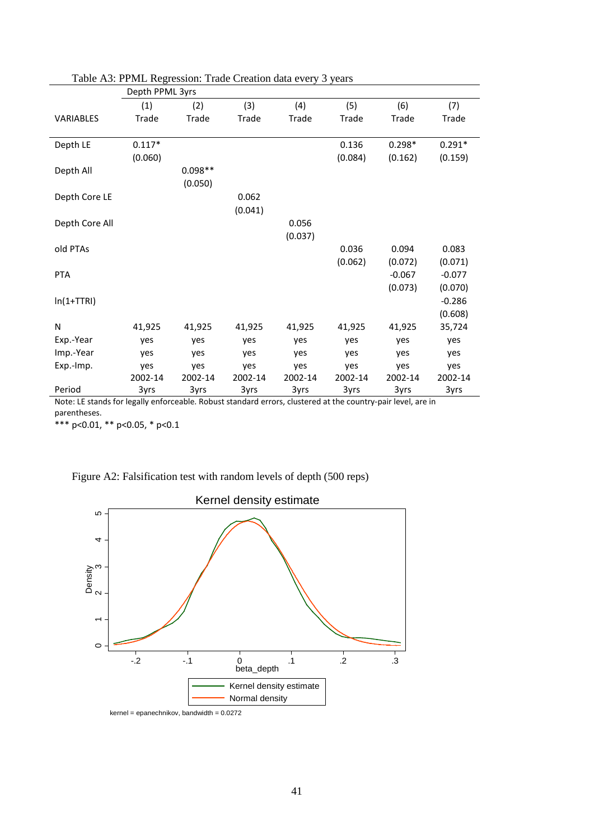|                | Depth PPML 3yrs |           |              |         |         |          |          |  |  |
|----------------|-----------------|-----------|--------------|---------|---------|----------|----------|--|--|
|                | (1)             | (2)       | (3)          | (4)     | (5)     | (6)      | (7)      |  |  |
| VARIABLES      | Trade           | Trade     | <b>Trade</b> | Trade   | Trade   | Trade    | Trade    |  |  |
|                |                 |           |              |         |         |          |          |  |  |
| Depth LE       | $0.117*$        |           |              |         | 0.136   | $0.298*$ | $0.291*$ |  |  |
|                | (0.060)         |           |              |         | (0.084) | (0.162)  | (0.159)  |  |  |
| Depth All      |                 | $0.098**$ |              |         |         |          |          |  |  |
|                |                 | (0.050)   |              |         |         |          |          |  |  |
| Depth Core LE  |                 |           | 0.062        |         |         |          |          |  |  |
|                |                 |           | (0.041)      |         |         |          |          |  |  |
| Depth Core All |                 |           |              | 0.056   |         |          |          |  |  |
|                |                 |           |              | (0.037) |         |          |          |  |  |
| old PTAs       |                 |           |              |         | 0.036   | 0.094    | 0.083    |  |  |
|                |                 |           |              |         | (0.062) | (0.072)  | (0.071)  |  |  |
| <b>PTA</b>     |                 |           |              |         |         | $-0.067$ | $-0.077$ |  |  |
|                |                 |           |              |         |         | (0.073)  | (0.070)  |  |  |
| $ln(1+TTRI)$   |                 |           |              |         |         |          | $-0.286$ |  |  |
|                |                 |           |              |         |         |          | (0.608)  |  |  |
| N              | 41,925          | 41,925    | 41,925       | 41,925  | 41,925  | 41,925   | 35,724   |  |  |
| Exp.-Year      | yes             | yes       | yes          | yes     | yes     | yes      | yes      |  |  |
| Imp.-Year      | yes             | yes       | yes          | yes     | yes     | yes      | yes      |  |  |
| Exp.-Imp.      | yes             | yes       | yes          | yes     | yes     | yes      | yes      |  |  |
|                | 2002-14         | 2002-14   | 2002-14      | 2002-14 | 2002-14 | 2002-14  | 2002-14  |  |  |
| Period         | 3yrs            | 3yrs      | 3yrs         | 3yrs    | 3yrs    | 3yrs     | 3yrs     |  |  |

# Table A3: PPML Regression: Trade Creation data every 3 years

Note: LE stands for legally enforceable. Robust standard errors, clustered at the country-pair level, are in parentheses.

\*\*\* p<0.01, \*\* p<0.05, \* p<0.1



Figure A2: Falsification test with random levels of depth (500 reps)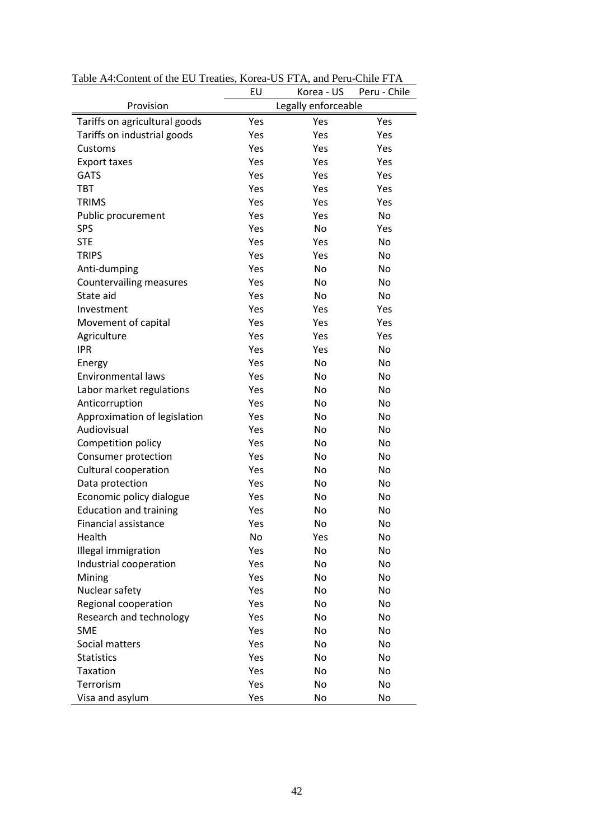|                               | EU                  | Korea - US | Peru - Chile |  |
|-------------------------------|---------------------|------------|--------------|--|
| Provision                     | Legally enforceable |            |              |  |
| Tariffs on agricultural goods | Yes                 | Yes        | Yes          |  |
| Tariffs on industrial goods   | Yes                 | Yes        | Yes          |  |
| Customs                       | Yes                 | Yes        | Yes          |  |
| Export taxes                  | Yes                 | Yes        | Yes          |  |
| <b>GATS</b>                   | Yes                 | Yes        | Yes          |  |
| <b>TBT</b>                    | Yes                 | Yes        | Yes          |  |
| <b>TRIMS</b>                  | Yes                 | Yes        | Yes          |  |
| Public procurement            | Yes                 | Yes        | No           |  |
| <b>SPS</b>                    | Yes                 | No         | Yes          |  |
| <b>STE</b>                    | Yes                 | Yes        | No           |  |
| <b>TRIPS</b>                  | Yes                 | Yes        | No           |  |
| Anti-dumping                  | Yes                 | No         | No           |  |
| Countervailing measures       | Yes                 | No         | No           |  |
| State aid                     | Yes                 | No         | No           |  |
| Investment                    | Yes                 | Yes        | Yes          |  |
| Movement of capital           | Yes                 | Yes        | Yes          |  |
| Agriculture                   | Yes                 | Yes        | Yes          |  |
| <b>IPR</b>                    | Yes                 | Yes        | No           |  |
| Energy                        | Yes                 | No         | No           |  |
| <b>Environmental laws</b>     | Yes                 | No         | No           |  |
| Labor market regulations      | Yes                 | No         | No           |  |
| Anticorruption                | Yes                 | No         | No           |  |
| Approximation of legislation  | Yes                 | No         | No           |  |
| Audiovisual                   | Yes                 | No         | No           |  |
| Competition policy            | Yes                 | No         | No           |  |
| Consumer protection           | Yes                 | No         | No           |  |
| Cultural cooperation          | Yes                 | No         | No           |  |
| Data protection               | Yes                 | No         | No           |  |
| Economic policy dialogue      | Yes                 | No         | No           |  |
| <b>Education and training</b> | Yes                 | No         | No           |  |
| <b>Financial assistance</b>   | Yes                 | No         | No           |  |
| Health                        | No                  | Yes        | No           |  |
| Illegal immigration           | Yes                 | No         | No           |  |
| Industrial cooperation        | Yes                 | No         | No           |  |
| Mining                        | Yes                 | No         | No           |  |
| Nuclear safety                | Yes                 | No         | No           |  |
| Regional cooperation          | Yes                 | No         | No           |  |
| Research and technology       | Yes                 | No         | No           |  |
| <b>SME</b>                    | Yes                 | No         | No           |  |
| Social matters                | Yes                 | No         | No           |  |
| <b>Statistics</b>             | Yes                 | No         | No           |  |
| Taxation                      | Yes                 | No         | No           |  |
| Terrorism                     | Yes                 | No         | No           |  |
| Visa and asylum               | Yes                 | No         | No           |  |

Table A4:Content of the EU Treaties, Korea-US FTA, and Peru-Chile FTA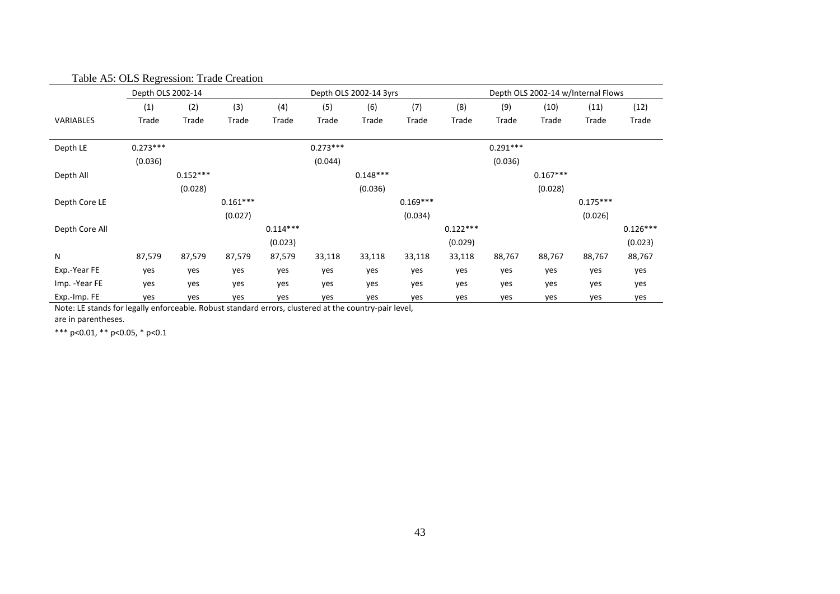|                | Depth OLS 2002-14 |            |            |            | Depth OLS 2002-14 3yrs |            |            |            | Depth OLS 2002-14 w/Internal Flows |            |            |            |
|----------------|-------------------|------------|------------|------------|------------------------|------------|------------|------------|------------------------------------|------------|------------|------------|
|                | (1)               | (2)        | (3)        | (4)        | (5)                    | (6)        | (7)        | (8)        | (9)                                | (10)       | (11)       | (12)       |
| VARIABLES      | Trade             | Trade      | Trade      | Trade      | Trade                  | Trade      | Trade      | Trade      | Trade                              | Trade      | Trade      | Trade      |
| Depth LE       | $0.273***$        |            |            |            | $0.273***$             |            |            |            | $0.291***$                         |            |            |            |
|                | (0.036)           |            |            |            | (0.044)                |            |            |            | (0.036)                            |            |            |            |
| Depth All      |                   | $0.152***$ |            |            |                        | $0.148***$ |            |            |                                    | $0.167***$ |            |            |
|                |                   | (0.028)    |            |            |                        | (0.036)    |            |            |                                    | (0.028)    |            |            |
| Depth Core LE  |                   |            | $0.161***$ |            |                        |            | $0.169***$ |            |                                    |            | $0.175***$ |            |
|                |                   |            | (0.027)    |            |                        |            | (0.034)    |            |                                    |            | (0.026)    |            |
| Depth Core All |                   |            |            | $0.114***$ |                        |            |            | $0.122***$ |                                    |            |            | $0.126***$ |
|                |                   |            |            | (0.023)    |                        |            |            | (0.029)    |                                    |            |            | (0.023)    |
| N              | 87,579            | 87,579     | 87,579     | 87,579     | 33,118                 | 33,118     | 33,118     | 33,118     | 88,767                             | 88,767     | 88,767     | 88,767     |
| Exp.-Year FE   | yes               | yes        | yes        | yes        | yes                    | yes        | yes        | yes        | yes                                | yes        | yes        | yes        |
| Imp. - Year FE | yes               | yes        | yes        | yes        | yes                    | yes        | yes        | yes        | yes                                | yes        | yes        | yes        |
| Exp.-Imp. FE   | yes               | yes        | yes        | yes        | yes                    | yes        | yes        | yes        | yes                                | yes        | yes        | yes        |

Table A5: OLS Regression: Trade Creation

Note: LE stands for legally enforceable. Robust standard errors, clustered at the country-pair level, are in parentheses.

\*\*\* p<0.01, \*\* p<0.05, \* p<0.1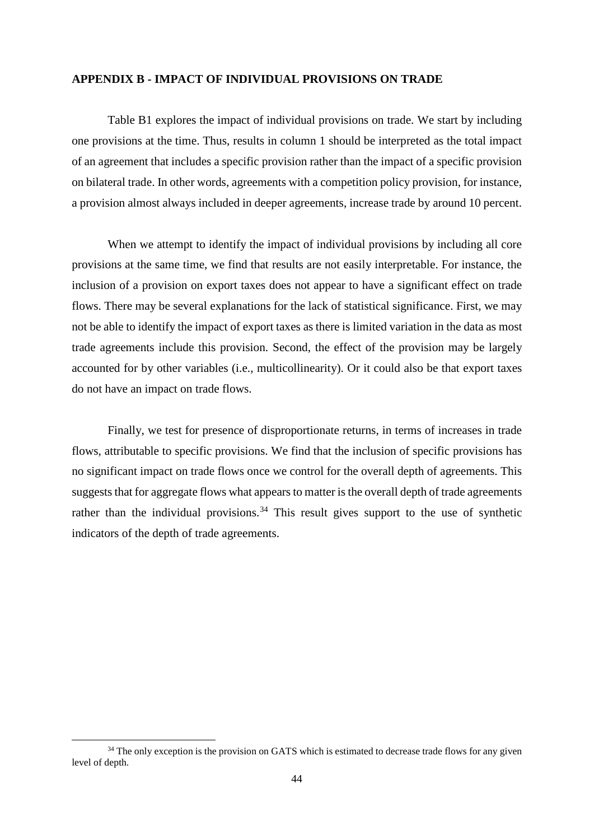### **APPENDIX B - IMPACT OF INDIVIDUAL PROVISIONS ON TRADE**

Table B1 explores the impact of individual provisions on trade. We start by including one provisions at the time. Thus, results in column 1 should be interpreted as the total impact of an agreement that includes a specific provision rather than the impact of a specific provision on bilateral trade. In other words, agreements with a competition policy provision, for instance, a provision almost always included in deeper agreements, increase trade by around 10 percent.

When we attempt to identify the impact of individual provisions by including all core provisions at the same time, we find that results are not easily interpretable. For instance, the inclusion of a provision on export taxes does not appear to have a significant effect on trade flows. There may be several explanations for the lack of statistical significance. First, we may not be able to identify the impact of export taxes as there is limited variation in the data as most trade agreements include this provision. Second, the effect of the provision may be largely accounted for by other variables (i.e., multicollinearity). Or it could also be that export taxes do not have an impact on trade flows.

Finally, we test for presence of disproportionate returns, in terms of increases in trade flows, attributable to specific provisions. We find that the inclusion of specific provisions has no significant impact on trade flows once we control for the overall depth of agreements. This suggests that for aggregate flows what appears to matter is the overall depth of trade agreements rather than the individual provisions.<sup>[34](#page-43-0)</sup> This result gives support to the use of synthetic indicators of the depth of trade agreements.

<span id="page-43-0"></span><sup>&</sup>lt;sup>34</sup> The only exception is the provision on GATS which is estimated to decrease trade flows for any given level of depth.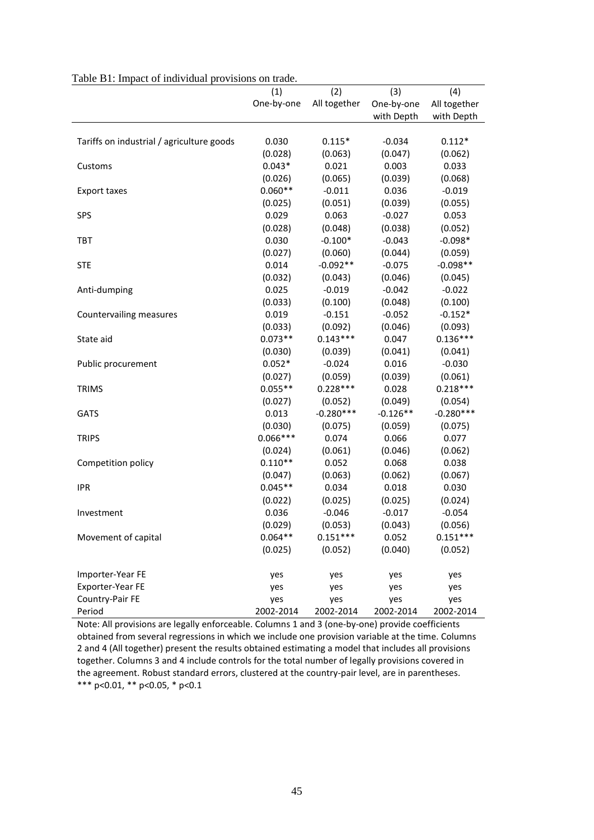| Table D.T. Impact of marvioual provisions on trade. |            |              |            |              |
|-----------------------------------------------------|------------|--------------|------------|--------------|
|                                                     | (1)        | (2)          | (3)        | (4)          |
|                                                     | One-by-one | All together | One-by-one | All together |
|                                                     |            |              | with Depth | with Depth   |
|                                                     |            |              |            |              |
| Tariffs on industrial / agriculture goods           | 0.030      | $0.115*$     | $-0.034$   | $0.112*$     |
|                                                     | (0.028)    | (0.063)      | (0.047)    | (0.062)      |
| Customs                                             | $0.043*$   | 0.021        | 0.003      | 0.033        |
|                                                     | (0.026)    | (0.065)      | (0.039)    | (0.068)      |
| <b>Export taxes</b>                                 | $0.060**$  | $-0.011$     | 0.036      | $-0.019$     |
|                                                     | (0.025)    | (0.051)      | (0.039)    | (0.055)      |
| <b>SPS</b>                                          | 0.029      | 0.063        | $-0.027$   | 0.053        |
|                                                     | (0.028)    | (0.048)      | (0.038)    | (0.052)      |
| <b>TBT</b>                                          | 0.030      | $-0.100*$    | $-0.043$   | $-0.098*$    |
|                                                     | (0.027)    | (0.060)      | (0.044)    | (0.059)      |
| <b>STE</b>                                          | 0.014      | $-0.092**$   | $-0.075$   | $-0.098**$   |
|                                                     | (0.032)    | (0.043)      | (0.046)    | (0.045)      |
| Anti-dumping                                        | 0.025      | $-0.019$     | $-0.042$   | $-0.022$     |
|                                                     | (0.033)    | (0.100)      | (0.048)    | (0.100)      |
| Countervailing measures                             | 0.019      | $-0.151$     | $-0.052$   | $-0.152*$    |
|                                                     | (0.033)    | (0.092)      | (0.046)    | (0.093)      |
| State aid                                           | $0.073**$  | $0.143***$   | 0.047      | $0.136***$   |
|                                                     | (0.030)    | (0.039)      | (0.041)    | (0.041)      |
| Public procurement                                  | $0.052*$   | $-0.024$     | 0.016      | $-0.030$     |
|                                                     | (0.027)    | (0.059)      | (0.039)    | (0.061)      |
| <b>TRIMS</b>                                        | $0.055**$  | $0.228***$   | 0.028      | $0.218***$   |
|                                                     | (0.027)    | (0.052)      | (0.049)    | (0.054)      |
| <b>GATS</b>                                         | 0.013      | $-0.280***$  | $-0.126**$ | $-0.280***$  |
|                                                     | (0.030)    | (0.075)      | (0.059)    | (0.075)      |
| <b>TRIPS</b>                                        | $0.066***$ | 0.074        | 0.066      | 0.077        |
|                                                     | (0.024)    | (0.061)      | (0.046)    | (0.062)      |
| Competition policy                                  | $0.110**$  | 0.052        | 0.068      | 0.038        |
|                                                     | (0.047)    | (0.063)      | (0.062)    | (0.067)      |
| <b>IPR</b>                                          | $0.045**$  | 0.034        | 0.018      | 0.030        |
|                                                     | (0.022)    | (0.025)      | (0.025)    | (0.024)      |
| Investment                                          | 0.036      | $-0.046$     | $-0.017$   | $-0.054$     |
|                                                     | (0.029)    | (0.053)      | (0.043)    | (0.056)      |
| Movement of capital                                 | $0.064**$  | $0.151***$   | 0.052      | $0.151***$   |
|                                                     | (0.025)    | (0.052)      | (0.040)    | (0.052)      |
| Importer-Year FE                                    | yes        | yes          | yes        | yes          |
| Exporter-Year FE                                    | yes        | yes          | yes        | yes          |
| Country-Pair FE                                     | yes        | yes          | yes        | yes          |
| Period                                              | 2002-2014  | 2002-2014    | 2002-2014  | 2002-2014    |

Note: All provisions are legally enforceable. Columns 1 and 3 (one-by-one) provide coefficients obtained from several regressions in which we include one provision variable at the time. Columns 2 and 4 (All together) present the results obtained estimating a model that includes all provisions together. Columns 3 and 4 include controls for the total number of legally provisions covered in the agreement. Robust standard errors, clustered at the country-pair level, are in parentheses. \*\*\* p<0.01, \*\* p<0.05, \* p<0.1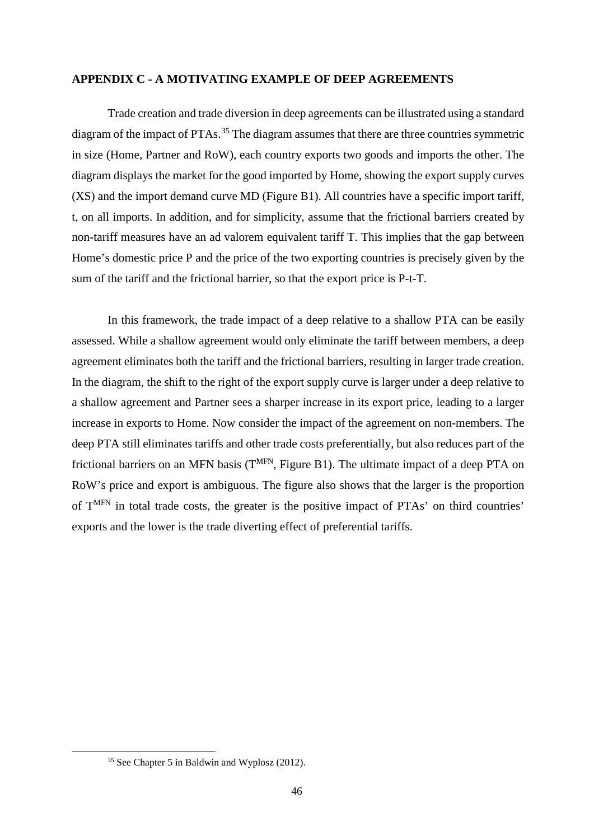### **APPENDIX C - A MOTIVATING EXAMPLE OF DEEP AGREEMENTS**

Trade creation and trade diversion in deep agreements can be illustrated using a standard diagram of the impact of PTAs.<sup>[35](#page-45-0)</sup> The diagram assumes that there are three countries symmetric in size (Home, Partner and RoW), each country exports two goods and imports the other. The diagram displays the market for the good imported by Home, showing the export supply curves (XS) and the import demand curve MD (Figure B1). All countries have a specific import tariff, t, on all imports. In addition, and for simplicity, assume that the frictional barriers created by non-tariff measures have an ad valorem equivalent tariff T. This implies that the gap between Home's domestic price P and the price of the two exporting countries is precisely given by the sum of the tariff and the frictional barrier, so that the export price is P-t-T.

In this framework, the trade impact of a deep relative to a shallow PTA can be easily assessed. While a shallow agreement would only eliminate the tariff between members, a deep agreement eliminates both the tariff and the frictional barriers, resulting in larger trade creation. In the diagram, the shift to the right of the export supply curve is larger under a deep relative to a shallow agreement and Partner sees a sharper increase in its export price, leading to a larger increase in exports to Home. Now consider the impact of the agreement on non-members. The deep PTA still eliminates tariffs and other trade costs preferentially, but also reduces part of the frictional barriers on an MFN basis  $(T<sup>MFN</sup>, Figure B1)$ . The ultimate impact of a deep PTA on RoW's price and export is ambiguous. The figure also shows that the larger is the proportion of TMFN in total trade costs, the greater is the positive impact of PTAs' on third countries' exports and the lower is the trade diverting effect of preferential tariffs.

<span id="page-45-0"></span> <sup>35</sup> See Chapter 5 in Baldwin and Wyplosz (2012).